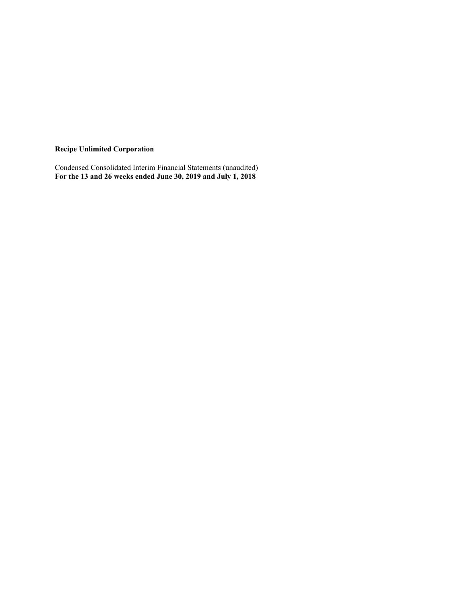**Recipe Unlimited Corporation**

Condensed Consolidated Interim Financial Statements (unaudited) **For the 13 and 26 weeks ended June 30, 2019 and July 1, 2018**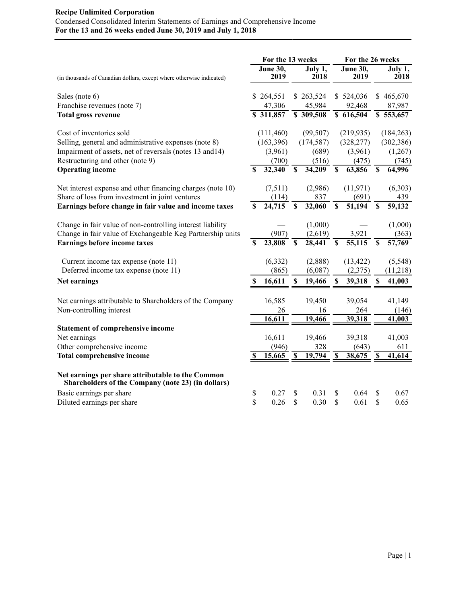|                                                                                                         |             | For the 13 weeks        |                 |                     | For the 26 weeks          |                         |                         |                                  |  |
|---------------------------------------------------------------------------------------------------------|-------------|-------------------------|-----------------|---------------------|---------------------------|-------------------------|-------------------------|----------------------------------|--|
| (in thousands of Canadian dollars, except where otherwise indicated)                                    |             | <b>June 30,</b><br>2019 |                 | July 1,<br>2018     |                           | <b>June 30,</b><br>2019 |                         | July 1,<br>2018                  |  |
| Sales (note 6)                                                                                          |             | \$264,551               |                 | \$263,524           |                           | \$524,036               |                         | \$465,670                        |  |
| Franchise revenues (note 7)<br><b>Total gross revenue</b>                                               |             | 47,306<br>\$311,857     |                 | 45,984<br>\$309,508 |                           | 92,468<br>\$616,504     |                         | 87,987<br>$\overline{$}5.53,657$ |  |
| Cost of inventories sold                                                                                |             | (111,460)               |                 | (99, 507)           |                           | (219, 935)              |                         | (184, 263)                       |  |
| Selling, general and administrative expenses (note 8)                                                   |             | (163,396)               |                 | (174, 587)          |                           | (328, 277)              |                         | (302, 386)                       |  |
| Impairment of assets, net of reversals (notes 13 and 14)                                                |             | (3,961)                 |                 | (689)               |                           | (3,961)                 |                         | (1,267)                          |  |
| Restructuring and other (note 9)                                                                        |             | (700)                   |                 | (516)               |                           | (475)                   |                         | (745)                            |  |
| <b>Operating income</b>                                                                                 | S           | 32,340                  | $\mathbf S$     | 34,209              | $\mathbf S$               | 63,856                  | \$                      | 64,996                           |  |
| Net interest expense and other financing charges (note 10)                                              |             | (7,511)                 |                 | (2,986)             |                           | (11, 971)               |                         | (6,303)                          |  |
| Share of loss from investment in joint ventures                                                         |             | (114)                   |                 | 837                 |                           | (691)                   |                         | 439                              |  |
| Earnings before change in fair value and income taxes                                                   | $\mathbf S$ | 24,715                  | $\mathbf S$     | 32,060              | $\mathbf S$               | $\overline{51,194}$     | \$                      | $\overline{59,132}$              |  |
| Change in fair value of non-controlling interest liability                                              |             |                         |                 | (1,000)             |                           |                         |                         | (1,000)                          |  |
| Change in fair value of Exchangeable Keg Partnership units                                              |             | (907)                   |                 | (2,619)             |                           | 3,921                   |                         | (363)                            |  |
| <b>Earnings before income taxes</b>                                                                     | \$          | 23,808                  | $\overline{\$}$ | 28,441              | $\mathbf S$               | 55,115                  | $\overline{\mathbb{S}}$ | 57,769                           |  |
| Current income tax expense (note 11)                                                                    |             | (6, 332)                |                 | (2,888)             |                           | (13, 422)               |                         | (5,548)                          |  |
| Deferred income tax expense (note 11)                                                                   |             | (865)                   |                 | (6,087)             |                           | (2,375)                 |                         | (11,218)                         |  |
| Net earnings                                                                                            | S           | 16,611                  | S               | 19,466              | \$                        | 39,318                  | \$                      | 41,003                           |  |
| Net earnings attributable to Shareholders of the Company                                                |             | 16,585                  |                 | 19,450              |                           | 39,054                  |                         | 41,149                           |  |
| Non-controlling interest                                                                                |             | 26                      |                 | 16                  |                           | 264                     |                         | (146)                            |  |
|                                                                                                         |             | 16,611                  |                 | 19,466              |                           | 39,318                  |                         | 41,003                           |  |
| <b>Statement of comprehensive income</b>                                                                |             |                         |                 |                     |                           |                         |                         |                                  |  |
| Net earnings                                                                                            |             | 16,611                  |                 | 19,466              |                           | 39,318                  |                         | 41,003                           |  |
| Other comprehensive income                                                                              |             | (946)                   |                 | 328                 |                           | (643)                   |                         | 611                              |  |
| <b>Total comprehensive income</b>                                                                       |             | 15,665                  | S               | 19,794              | $\boldsymbol{\mathsf{S}}$ | 38,675                  | S                       | 41,614                           |  |
| Net earnings per share attributable to the Common<br>Shareholders of the Company (note 23) (in dollars) |             |                         |                 |                     |                           |                         |                         |                                  |  |
| Basic earnings per share                                                                                | \$          | 0.27                    | S               | 0.31                | S                         | 0.64                    | S                       | 0.67                             |  |
| Diluted earnings per share                                                                              | \$          | 0.26                    | \$              | 0.30                | \$                        | 0.61                    | \$                      | 0.65                             |  |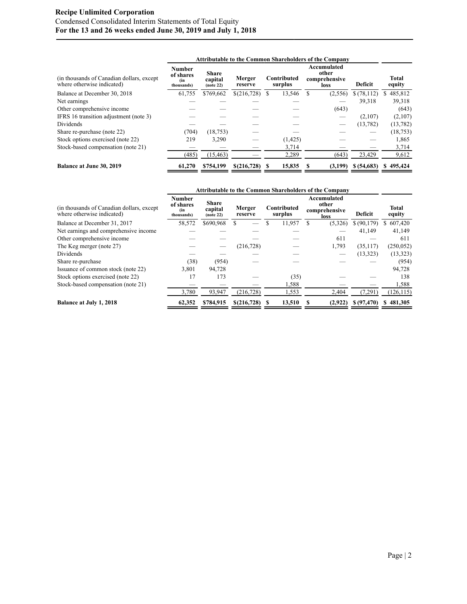## **Recipe Unlimited Corporation** Condensed Consolidated Interim Statements of Total Equity **For the 13 and 26 weeks ended June 30, 2019 and July 1, 2018**

|                                                                          |                                                 |                                      |                   |                        | <b>Attributable to the Common Shareholders of the Company</b> |            |                        |
|--------------------------------------------------------------------------|-------------------------------------------------|--------------------------------------|-------------------|------------------------|---------------------------------------------------------------|------------|------------------------|
| (in thousands of Canadian dollars, except)<br>where otherwise indicated) | <b>Number</b><br>of shares<br>(in<br>thousands) | <b>Share</b><br>capital<br>(note 22) | Merger<br>reserve | Contributed<br>surplus | Accumulated<br>other<br>comprehensive<br>loss                 | Deficit    | <b>Total</b><br>equity |
| Balance at December 30, 2018                                             | 61,755                                          | \$769,662                            | \$(216,728)       | \$<br>13,546           | (2,556)                                                       | \$(78,112) | 485,812<br>S.          |
| Net earnings                                                             |                                                 |                                      |                   |                        |                                                               | 39,318     | 39,318                 |
| Other comprehensive income                                               |                                                 |                                      |                   |                        | (643)                                                         |            | (643)                  |
| IFRS 16 transition adjustment (note 3)                                   |                                                 |                                      |                   |                        |                                                               | (2,107)    | (2,107)                |
| <b>Dividends</b>                                                         |                                                 |                                      |                   |                        |                                                               | (13, 782)  | (13, 782)              |
| Share re-purchase (note 22)                                              | (704)                                           | (18, 753)                            |                   |                        |                                                               |            | (18, 753)              |
| Stock options exercised (note 22)                                        | 219                                             | 3.290                                |                   | (1, 425)               |                                                               |            | 1,865                  |
| Stock-based compensation (note 21)                                       |                                                 |                                      |                   | 3,714                  |                                                               |            | 3,714                  |
|                                                                          | (485)                                           | (15, 463)                            |                   | 2,289                  | (643)                                                         | 23,429     | 9,612                  |
| <b>Balance at June 30, 2019</b>                                          | 61,270                                          | \$754,199                            | \$(216,728)       | 15,835                 | (3,199)                                                       | \$(54,683) | \$495,424              |

|                                                                          |                                          | <b>Attributable to the Common Shareholders of the Company</b> |                   |   |                        |                                               |             |                        |  |  |  |  |
|--------------------------------------------------------------------------|------------------------------------------|---------------------------------------------------------------|-------------------|---|------------------------|-----------------------------------------------|-------------|------------------------|--|--|--|--|
| (in thousands of Canadian dollars, except)<br>where otherwise indicated) | Number<br>of shares<br>(in<br>thousands) | <b>Share</b><br>capital<br>(note 22)                          | Merger<br>reserve |   | Contributed<br>surplus | Accumulated<br>other<br>comprehensive<br>loss | Deficit     | <b>Total</b><br>equity |  |  |  |  |
| Balance at December 31, 2017                                             | 58,572                                   | \$690,968                                                     |                   |   | 11,957                 | (5,326)                                       | \$ (90,179) | \$607,420              |  |  |  |  |
| Net earnings and comprehensive income                                    |                                          |                                                               |                   |   |                        |                                               | 41,149      | 41,149                 |  |  |  |  |
| Other comprehensive income                                               |                                          |                                                               |                   |   |                        | 611                                           |             | 611                    |  |  |  |  |
| The Keg merger (note 27)                                                 |                                          |                                                               | (216, 728)        |   |                        | 1,793                                         | (35, 117)   | (250, 052)             |  |  |  |  |
| <b>Dividends</b>                                                         |                                          |                                                               |                   |   |                        |                                               | (13, 323)   | (13, 323)              |  |  |  |  |
| Share re-purchase                                                        | (38)                                     | (954)                                                         |                   |   |                        |                                               |             | (954)                  |  |  |  |  |
| Issuance of common stock (note 22)                                       | 3,801                                    | 94.728                                                        |                   |   |                        |                                               |             | 94,728                 |  |  |  |  |
| Stock options exercised (note 22)                                        | 17                                       | 173                                                           |                   |   | (35)                   |                                               |             | 138                    |  |  |  |  |
| Stock-based compensation (note 21)                                       |                                          |                                                               |                   |   | 1,588                  |                                               |             | 1,588                  |  |  |  |  |
|                                                                          | 3,780                                    | 93,947                                                        | (216, 728)        |   | 1,553                  | 2,404                                         | (7,291)     | (126, 115)             |  |  |  |  |
| <b>Balance at July 1, 2018</b>                                           | 62,352                                   | \$784,915                                                     | \$(216,728)       | S | 13,510                 | (2,922)                                       | \$(97, 470) | \$481,305              |  |  |  |  |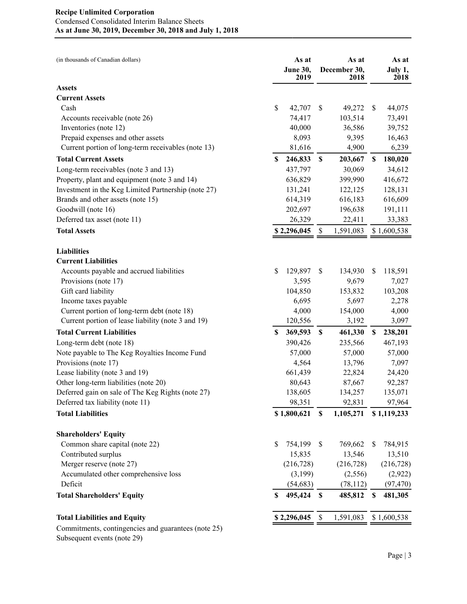| (in thousands of Canadian dollars)                  |    | As at<br>June 30,<br>2019 |                           | As at<br>December 30,<br>2018 |                           | As at<br>July 1,<br>2018 |
|-----------------------------------------------------|----|---------------------------|---------------------------|-------------------------------|---------------------------|--------------------------|
| <b>Assets</b>                                       |    |                           |                           |                               |                           |                          |
| <b>Current Assets</b>                               |    |                           |                           |                               |                           |                          |
| Cash                                                | \$ | 42,707                    | \$                        | 49,272                        | <sup>\$</sup>             | 44,075                   |
| Accounts receivable (note 26)                       |    | 74,417                    |                           | 103,514                       |                           | 73,491                   |
| Inventories (note 12)                               |    | 40,000                    |                           | 36,586                        |                           | 39,752                   |
| Prepaid expenses and other assets                   |    | 8,093                     |                           | 9,395                         |                           | 16,463                   |
| Current portion of long-term receivables (note 13)  |    | 81,616                    |                           | 4,900                         |                           | 6,239                    |
| <b>Total Current Assets</b>                         | \$ | 246,833                   | \$                        | 203,667                       | \$                        | 180,020                  |
| Long-term receivables (note 3 and 13)               |    | 437,797                   |                           | 30,069                        |                           | 34,612                   |
| Property, plant and equipment (note 3 and 14)       |    | 636,829                   |                           | 399,990                       |                           | 416,672                  |
| Investment in the Keg Limited Partnership (note 27) |    | 131,241                   |                           | 122,125                       |                           | 128,131                  |
| Brands and other assets (note 15)                   |    | 614,319                   |                           | 616,183                       |                           | 616,609                  |
| Goodwill (note 16)                                  |    | 202,697                   |                           | 196,638                       |                           | 191,111                  |
| Deferred tax asset (note 11)                        |    | 26,329                    |                           | 22,411                        |                           | 33,383                   |
| <b>Total Assets</b>                                 |    | \$2,296,045               | \$                        | 1,591,083                     |                           | \$1,600,538              |
| <b>Liabilities</b>                                  |    |                           |                           |                               |                           |                          |
| <b>Current Liabilities</b>                          |    |                           |                           |                               |                           |                          |
| Accounts payable and accrued liabilities            | \$ | 129,897                   | \$                        | 134,930                       | \$                        | 118,591                  |
| Provisions (note 17)                                |    | 3,595                     |                           | 9,679                         |                           | 7,027                    |
| Gift card liability                                 |    | 104,850                   |                           | 153,832                       |                           | 103,208                  |
| Income taxes payable                                |    | 6,695                     |                           | 5,697                         |                           | 2,278                    |
| Current portion of long-term debt (note 18)         |    | 4,000                     |                           | 154,000                       |                           | 4,000                    |
| Current portion of lease liability (note 3 and 19)  |    | 120,556                   |                           | 3,192                         |                           | 3,097                    |
| <b>Total Current Liabilities</b>                    | \$ | 369,593                   | \$                        | 461,330                       | $\boldsymbol{\mathsf{S}}$ | 238,201                  |
| Long-term debt (note 18)                            |    | 390,426                   |                           | 235,566                       |                           | 467,193                  |
| Note payable to The Keg Royalties Income Fund       |    | 57,000                    |                           | 57,000                        |                           | 57,000                   |
| Provisions (note 17)                                |    | 4,564                     |                           | 13,796                        |                           | 7,097                    |
| Lease liability (note 3 and 19)                     |    | 661,439                   |                           | 22,824                        |                           | 24,420                   |
| Other long-term liabilities (note 20)               |    | 80,643                    |                           | 87,667                        |                           | 92,287                   |
| Deferred gain on sale of The Keg Rights (note 27)   |    | 138,605                   |                           | 134,257                       |                           | 135,071                  |
| Deferred tax liability (note 11)                    |    | 98,351                    |                           | 92,831                        |                           | 97,964                   |
| <b>Total Liabilities</b>                            |    | \$1,800,621               | \$                        | 1,105,271                     |                           | \$1,119,233              |
| <b>Shareholders' Equity</b>                         |    |                           |                           |                               |                           |                          |
| Common share capital (note 22)                      | \$ | 754,199                   | \$                        | 769,662                       | \$                        | 784,915                  |
| Contributed surplus                                 |    | 15,835                    |                           | 13,546                        |                           | 13,510                   |
| Merger reserve (note 27)                            |    | (216, 728)                |                           | (216, 728)                    |                           | (216, 728)               |
| Accumulated other comprehensive loss                |    | (3,199)                   |                           | (2, 556)                      |                           | (2,922)                  |
| Deficit                                             |    | (54, 683)                 |                           | (78, 112)                     |                           | (97, 470)                |
| <b>Total Shareholders' Equity</b>                   | S  | 495,424                   | $\boldsymbol{\mathsf{s}}$ | 485,812                       | S                         | 481,305                  |
| <b>Total Liabilities and Equity</b>                 |    | \$2,296,045               | S                         | 1,591,083                     |                           | \$1,600,538              |
| itmonts, contingencies and querentees (note 25)     |    |                           |                           |                               |                           |                          |

Commitments, contingencies and guarantees (note 25) Subsequent events (note 29)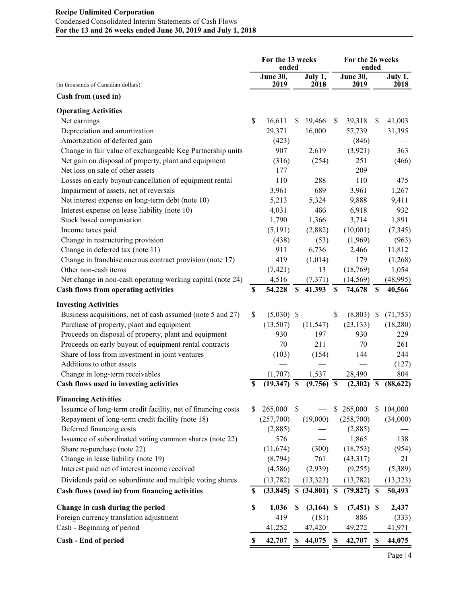## **Recipe Unlimited Corporation** Condensed Consolidated Interim Statements of Cash Flows **For the 13 and 26 weeks ended June 30, 2019 and July 1, 2018**

|                                                               | For the 13 weeks<br>ended |                         |                           |                 | For the 26 weeks<br>ended |                  |    |                        |
|---------------------------------------------------------------|---------------------------|-------------------------|---------------------------|-----------------|---------------------------|------------------|----|------------------------|
| (in thousands of Canadian dollars)                            |                           | <b>June 30,</b><br>2019 |                           | July 1,<br>2018 |                           | June 30,<br>2019 |    | July 1,<br><b>2018</b> |
| Cash from (used in)                                           |                           |                         |                           |                 |                           |                  |    |                        |
| <b>Operating Activities</b>                                   |                           |                         |                           |                 |                           |                  |    |                        |
| Net earnings                                                  | \$                        | 16,611                  | \$                        | 19,466          | <sup>S</sup>              | 39,318           | \$ | 41,003                 |
| Depreciation and amortization                                 |                           | 29,371                  |                           | 16,000          |                           | 57,739           |    | 31,395                 |
| Amortization of deferred gain                                 |                           | (423)                   |                           |                 |                           | (846)            |    |                        |
| Change in fair value of exchangeable Keg Partnership units    |                           | 907                     |                           | 2,619           |                           | (3,921)          |    | 363                    |
| Net gain on disposal of property, plant and equipment         |                           | (316)                   |                           | (254)           |                           | 251              |    | (466)                  |
| Net loss on sale of other assets                              |                           | 177                     |                           |                 |                           | 209              |    |                        |
| Losses on early buyout/cancellation of equipment rental       |                           | 110                     |                           | 288             |                           | 110              |    | 475                    |
| Impairment of assets, net of reversals                        |                           | 3,961                   |                           | 689             |                           | 3,961            |    | 1,267                  |
| Net interest expense on long-term debt (note 10)              |                           | 5,213                   |                           | 5,324           |                           | 9,888            |    | 9,411                  |
| Interest expense on lease liability (note 10)                 |                           | 4,031                   |                           | 466             |                           | 6,918            |    | 932                    |
| Stock based compensation                                      |                           | 1,790                   |                           | 1,366           |                           | 3,714            |    | 1,891                  |
| Income taxes paid                                             |                           | (5,191)                 |                           | (2,882)         |                           | (10,001)         |    | (7, 345)               |
| Change in restructuring provision                             |                           | (438)                   |                           | (53)            |                           | (1,969)          |    | (963)                  |
| Change in deferred tax (note 11)                              |                           | 911                     |                           | 6,736           |                           | 2,466            |    | 11,812                 |
| Change in franchise onerous contract provision (note 17)      |                           | 419                     |                           | (1,014)         |                           | 179              |    | (1,268)                |
| Other non-cash items                                          |                           | (7, 421)                |                           | 13              |                           | (18,769)         |    | 1,054                  |
| Net change in non-cash operating working capital (note 24)    |                           | 4,516                   |                           | (7,371)         |                           | (14, 569)        |    | (48,995)               |
| <b>Cash flows from operating activities</b>                   | \$                        | 54,228                  | $\boldsymbol{\mathsf{S}}$ | 41,393          | S                         | 74,678           | \$ | 40,566                 |
| <b>Investing Activities</b>                                   |                           |                         |                           |                 |                           |                  |    |                        |
| Business acquisitions, net of cash assumed (note 5 and 27)    | $\mathsf{\$}$             | $(5,030)$ \$            |                           |                 | \$                        | $(8,803)$ \$     |    | (71, 753)              |
| Purchase of property, plant and equipment                     |                           | (13,507)                |                           | (11, 547)       |                           | (23, 133)        |    | (18, 280)              |
| Proceeds on disposal of property, plant and equipment         |                           | 930                     |                           | 197             |                           | 930              |    | 229                    |
| Proceeds on early buyout of equipment rental contracts        |                           | 70                      |                           | 211             |                           | 70               |    | 261                    |
| Share of loss from investment in joint ventures               |                           | (103)                   |                           | (154)           |                           | 144              |    | 244                    |
| Additions to other assets                                     |                           |                         |                           |                 |                           |                  |    | (127)                  |
| Change in long-term receivables                               |                           | (1,707)                 |                           | 1,537           |                           | 28,490           |    | 804                    |
| Cash flows used in investing activities                       | S                         | (19,347)                | <b>S</b>                  | (9,756)         | $\boldsymbol{\mathsf{s}}$ | (2,302)          | \$ | (88, 622)              |
| <b>Financing Activities</b>                                   |                           |                         |                           |                 |                           |                  |    |                        |
| Issuance of long-term credit facility, net of financing costs | S.                        | 265,000                 | $\mathcal{S}$             |                 |                           | \$265,000        |    | \$104,000              |
| Repayment of long-term credit facility (note 18)              |                           | (257,700)               |                           | (19,000)        |                           | (258,700)        |    | (34,000)               |
| Deferred financing costs                                      |                           | (2,885)                 |                           |                 |                           | (2,885)          |    |                        |
| Issuance of subordinated voting common shares (note 22)       |                           | 576                     |                           |                 |                           | 1,865            |    | 138                    |
| Share re-purchase (note 22)                                   |                           | (11, 674)               |                           | (300)           |                           | (18, 753)        |    | (954)                  |
| Change in lease liability (note 19)                           |                           | (8,794)                 |                           | 761             |                           | (43,317)         |    | 21                     |
| Interest paid net of interest income received                 |                           | (4,586)                 |                           | (2,939)         |                           | (9,255)          |    | (5,389)                |
| Dividends paid on subordinate and multiple voting shares      |                           | (13, 782)               |                           | (13, 323)       |                           | (13,782)         |    | (13, 323)              |
| Cash flows (used in) from financing activities                | $\boldsymbol{\mathsf{S}}$ | $(33,845)$ \$           |                           | $(34,801)$ \$   |                           | $(79,827)$ \$    |    | 50,493                 |
| Change in cash during the period                              | \$                        | 1,036                   | S                         | $(3,164)$ \$    |                           | (7, 451)         | -S | 2,437                  |
| Foreign currency translation adjustment                       |                           | 419                     |                           | (181)           |                           | 886              |    | (333)                  |
| Cash - Beginning of period                                    |                           | 41,252                  |                           | 47,420          |                           | 49,272           |    | 41,971                 |
| Cash - End of period                                          | S.                        | 42,707                  | \$                        | 44,075          | \$                        | 42,707           | S  | 44,075                 |
|                                                               |                           |                         |                           |                 |                           |                  |    |                        |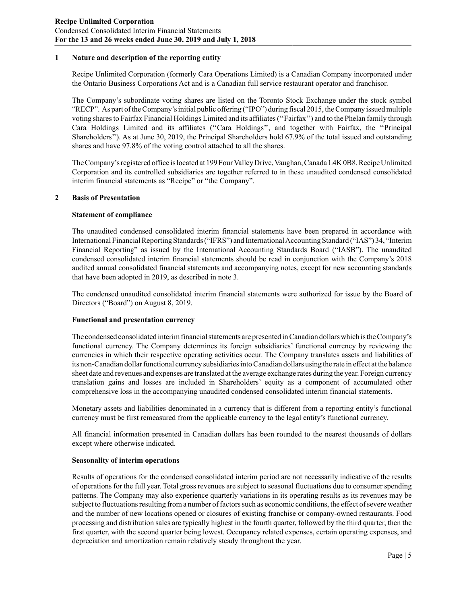## **1 Nature and description of the reporting entity**

Recipe Unlimited Corporation (formerly Cara Operations Limited) is a Canadian Company incorporated under the Ontario Business Corporations Act and is a Canadian full service restaurant operator and franchisor.

The Company's subordinate voting shares are listed on the Toronto Stock Exchange under the stock symbol "RECP". As part of the Company's initial public offering ("IPO") during fiscal 2015, the Company issued multiple voting shares to Fairfax Financial Holdings Limited and its affiliates (''Fairfax'') and to the Phelan family through Cara Holdings Limited and its affiliates (''Cara Holdings'', and together with Fairfax, the ''Principal Shareholders''). As at June 30, 2019, the Principal Shareholders hold 67.9% of the total issued and outstanding shares and have 97.8% of the voting control attached to all the shares.

The Company's registered office is located at 199 Four Valley Drive, Vaughan, Canada L4K 0B8. Recipe Unlimited Corporation and its controlled subsidiaries are together referred to in these unaudited condensed consolidated interim financial statements as "Recipe" or "the Company".

## **2 Basis of Presentation**

## **Statement of compliance**

The unaudited condensed consolidated interim financial statements have been prepared in accordance with International Financial Reporting Standards ("IFRS") and International Accounting Standard ("IAS") 34, "Interim Financial Reporting" as issued by the International Accounting Standards Board ("IASB"). The unaudited condensed consolidated interim financial statements should be read in conjunction with the Company's 2018 audited annual consolidated financial statements and accompanying notes, except for new accounting standards that have been adopted in 2019, as described in note 3.

The condensed unaudited consolidated interim financial statements were authorized for issue by the Board of Directors ("Board") on August 8, 2019.

## **Functional and presentation currency**

The condensed consolidated interim financial statements are presented in Canadian dollars which is the Company's functional currency. The Company determines its foreign subsidiaries' functional currency by reviewing the currencies in which their respective operating activities occur. The Company translates assets and liabilities of its non-Canadian dollar functional currency subsidiaries into Canadian dollars using the rate in effect at the balance sheet date and revenues and expenses are translated at the average exchange rates during the year. Foreign currency translation gains and losses are included in Shareholders' equity as a component of accumulated other comprehensive loss in the accompanying unaudited condensed consolidated interim financial statements.

Monetary assets and liabilities denominated in a currency that is different from a reporting entity's functional currency must be first remeasured from the applicable currency to the legal entity's functional currency.

All financial information presented in Canadian dollars has been rounded to the nearest thousands of dollars except where otherwise indicated.

#### **Seasonality of interim operations**

Results of operations for the condensed consolidated interim period are not necessarily indicative of the results of operations for the full year. Total gross revenues are subject to seasonal fluctuations due to consumer spending patterns. The Company may also experience quarterly variations in its operating results as its revenues may be subject to fluctuations resulting from a number of factors such as economic conditions, the effect of severe weather and the number of new locations opened or closures of existing franchise or company-owned restaurants. Food processing and distribution sales are typically highest in the fourth quarter, followed by the third quarter, then the first quarter, with the second quarter being lowest. Occupancy related expenses, certain operating expenses, and depreciation and amortization remain relatively steady throughout the year.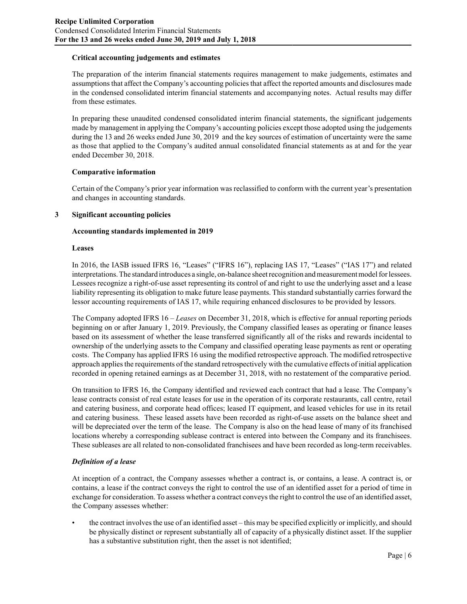## **Critical accounting judgements and estimates**

The preparation of the interim financial statements requires management to make judgements, estimates and assumptions that affect the Company's accounting policies that affect the reported amounts and disclosures made in the condensed consolidated interim financial statements and accompanying notes. Actual results may differ from these estimates.

In preparing these unaudited condensed consolidated interim financial statements, the significant judgements made by management in applying the Company's accounting policies except those adopted using the judgements during the 13 and 26 weeks ended June 30, 2019 and the key sources of estimation of uncertainty were the same as those that applied to the Company's audited annual consolidated financial statements as at and for the year ended December 30, 2018.

#### **Comparative information**

Certain of the Company's prior year information was reclassified to conform with the current year's presentation and changes in accounting standards.

#### **3 Significant accounting policies**

#### **Accounting standards implemented in 2019**

#### **Leases**

In 2016, the IASB issued IFRS 16, "Leases" ("IFRS 16"), replacing IAS 17, "Leases" ("IAS 17") and related interpretations. The standard introduces a single, on-balance sheet recognition and measurement model for lessees. Lessees recognize a right-of-use asset representing its control of and right to use the underlying asset and a lease liability representing its obligation to make future lease payments. This standard substantially carries forward the lessor accounting requirements of IAS 17, while requiring enhanced disclosures to be provided by lessors.

The Company adopted IFRS 16 – *Leases* on December 31, 2018, which is effective for annual reporting periods beginning on or after January 1, 2019. Previously, the Company classified leases as operating or finance leases based on its assessment of whether the lease transferred significantly all of the risks and rewards incidental to ownership of the underlying assets to the Company and classified operating lease payments as rent or operating costs. The Company has applied IFRS 16 using the modified retrospective approach. The modified retrospective approach applies the requirements of the standard retrospectively with the cumulative effects of initial application recorded in opening retained earnings as at December 31, 2018, with no restatement of the comparative period.

On transition to IFRS 16, the Company identified and reviewed each contract that had a lease. The Company's lease contracts consist of real estate leases for use in the operation of its corporate restaurants, call centre, retail and catering business, and corporate head offices; leased IT equipment, and leased vehicles for use in its retail and catering business. These leased assets have been recorded as right-of-use assets on the balance sheet and will be depreciated over the term of the lease. The Company is also on the head lease of many of its franchised locations whereby a corresponding sublease contract is entered into between the Company and its franchisees. These subleases are all related to non-consolidated franchisees and have been recorded as long-term receivables.

## *Definition of a lease*

At inception of a contract, the Company assesses whether a contract is, or contains, a lease. A contract is, or contains, a lease if the contract conveys the right to control the use of an identified asset for a period of time in exchange for consideration. To assess whether a contract conveys the right to control the use of an identified asset, the Company assesses whether:

• the contract involves the use of an identified asset – this may be specified explicitly or implicitly, and should be physically distinct or represent substantially all of capacity of a physically distinct asset. If the supplier has a substantive substitution right, then the asset is not identified;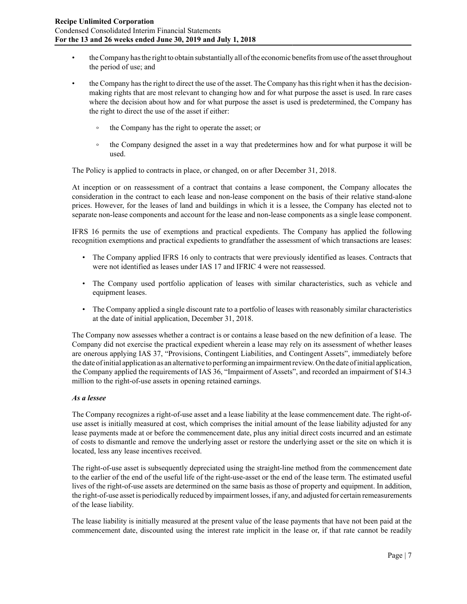- the Company has the right to obtain substantially all of the economic benefits from use of the asset throughout the period of use; and
- the Company has the right to direct the use of the asset. The Company has this right when it has the decisionmaking rights that are most relevant to changing how and for what purpose the asset is used. In rare cases where the decision about how and for what purpose the asset is used is predetermined, the Company has the right to direct the use of the asset if either:
	- $\circ$ the Company has the right to operate the asset; or
	- $\circ$ the Company designed the asset in a way that predetermines how and for what purpose it will be used.

The Policy is applied to contracts in place, or changed, on or after December 31, 2018.

At inception or on reassessment of a contract that contains a lease component, the Company allocates the consideration in the contract to each lease and non-lease component on the basis of their relative stand-alone prices. However, for the leases of land and buildings in which it is a lessee, the Company has elected not to separate non-lease components and account for the lease and non-lease components as a single lease component.

IFRS 16 permits the use of exemptions and practical expedients. The Company has applied the following recognition exemptions and practical expedients to grandfather the assessment of which transactions are leases:

- The Company applied IFRS 16 only to contracts that were previously identified as leases. Contracts that were not identified as leases under IAS 17 and IFRIC 4 were not reassessed.
- The Company used portfolio application of leases with similar characteristics, such as vehicle and equipment leases.
- The Company applied a single discount rate to a portfolio of leases with reasonably similar characteristics at the date of initial application, December 31, 2018.

The Company now assesses whether a contract is or contains a lease based on the new definition of a lease. The Company did not exercise the practical expedient wherein a lease may rely on its assessment of whether leases are onerous applying IAS 37, "Provisions, Contingent Liabilities, and Contingent Assets", immediately before the date of initial application as an alternative to performing an impairment review. On the date of initial application, the Company applied the requirements of IAS 36, "Impairment of Assets", and recorded an impairment of \$14.3 million to the right-of-use assets in opening retained earnings.

#### *As a lessee*

The Company recognizes a right-of-use asset and a lease liability at the lease commencement date. The right-ofuse asset is initially measured at cost, which comprises the initial amount of the lease liability adjusted for any lease payments made at or before the commencement date, plus any initial direct costs incurred and an estimate of costs to dismantle and remove the underlying asset or restore the underlying asset or the site on which it is located, less any lease incentives received.

The right-of-use asset is subsequently depreciated using the straight-line method from the commencement date to the earlier of the end of the useful life of the right-use-asset or the end of the lease term. The estimated useful lives of the right-of-use assets are determined on the same basis as those of property and equipment. In addition, the right-of-use asset is periodically reduced by impairment losses, if any, and adjusted for certain remeasurements of the lease liability.

The lease liability is initially measured at the present value of the lease payments that have not been paid at the commencement date, discounted using the interest rate implicit in the lease or, if that rate cannot be readily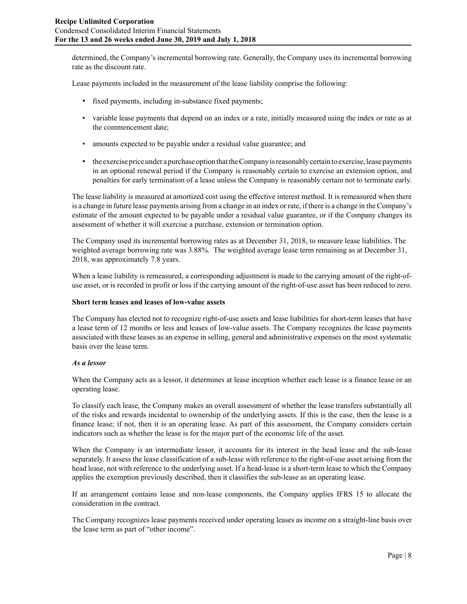determined, the Company's incremental borrowing rate. Generally, the Company uses its incremental borrowing rate as the discount rate.

Lease payments included in the measurement of the lease liability comprise the following:

- fixed payments, including in-substance fixed payments;
- variable lease payments that depend on an index or a rate, initially measured using the index or rate as at the commencement date;
- amounts expected to be payable under a residual value guarantee; and
- the exercise price under a purchase option that the Company is reasonably certain to exercise, lease payments in an optional renewal period if the Company is reasonably certain to exercise an extension option, and penalties for early termination of a lease unless the Company is reasonably certain not to terminate early.

The lease liability is measured at amortized cost using the effective interest method. It is remeasured when there is a change in future lease payments arising from a change in an index or rate, if there is a change in the Company's estimate of the amount expected to be payable under a residual value guarantee, or if the Company changes its assessment of whether it will exercise a purchase, extension or termination option.

The Company used its incremental borrowing rates as at December 31, 2018, to measure lease liabilities. The weighted average borrowing rate was 3.88%. The weighted average lease term remaining as at December 31, 2018, was approximately 7.8 years.

When a lease liability is remeasured, a corresponding adjustment is made to the carrying amount of the right-ofuse asset, or is recorded in profit or loss if the carrying amount of the right-of-use asset has been reduced to zero.

#### **Short term leases and leases of low-value assets**

The Company has elected not to recognize right-of-use assets and lease liabilities for short-term leases that have a lease term of 12 months or less and leases of low-value assets. The Company recognizes the lease payments associated with these leases as an expense in selling, general and administrative expenses on the most systematic basis over the lease term.

## *As a lessor*

When the Company acts as a lessor, it determines at lease inception whether each lease is a finance lease or an operating lease.

To classify each lease, the Company makes an overall assessment of whether the lease transfers substantially all of the risks and rewards incidental to ownership of the underlying assets. If this is the case, then the lease is a finance lease; if not, then it is an operating lease. As part of this assessment, the Company considers certain indicators such as whether the lease is for the major part of the economic life of the asset.

When the Company is an intermediate lessor, it accounts for its interest in the head lease and the sub-lease separately. It assess the lease classification of a sub-lease with reference to the right-of-use asset arising from the head lease, not with reference to the underlying asset. If a head-lease is a short-term lease to which the Company applies the exemption previously described, then it classifies the sub-lease as an operating lease.

If an arrangement contains lease and non-lease components, the Company applies IFRS 15 to allocate the consideration in the contract.

The Company recognizes lease payments received under operating leases as income on a straight-line basis over the lease term as part of "other income".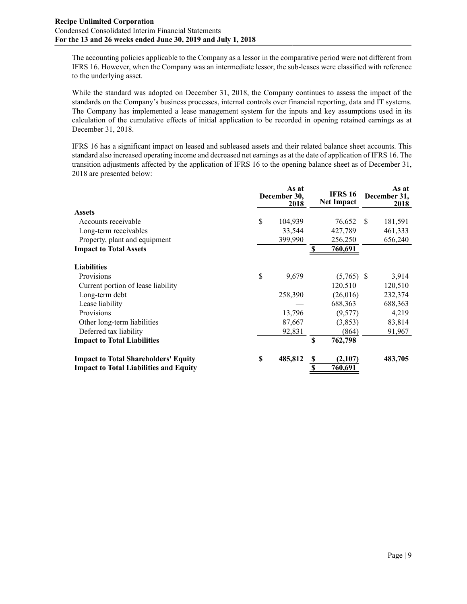The accounting policies applicable to the Company as a lessor in the comparative period were not different from IFRS 16. However, when the Company was an intermediate lessor, the sub-leases were classified with reference to the underlying asset.

While the standard was adopted on December 31, 2018, the Company continues to assess the impact of the standards on the Company's business processes, internal controls over financial reporting, data and IT systems. The Company has implemented a lease management system for the inputs and key assumptions used in its calculation of the cumulative effects of initial application to be recorded in opening retained earnings as at December 31, 2018.

IFRS 16 has a significant impact on leased and subleased assets and their related balance sheet accounts. This standard also increased operating income and decreased net earnings as at the date of application of IFRS 16. The transition adjustments affected by the application of IFRS 16 to the opening balance sheet as of December 31, 2018 are presented below:

|                                               | As at<br>December 30,<br>2018 | <b>IFRS 16</b><br><b>Net Impact</b> |               | As at<br>December 31,<br>2018 |
|-----------------------------------------------|-------------------------------|-------------------------------------|---------------|-------------------------------|
| <b>Assets</b>                                 |                               |                                     |               |                               |
| Accounts receivable                           | \$<br>104,939                 | 76,652                              | <sup>\$</sup> | 181,591                       |
| Long-term receivables                         | 33,544                        | 427,789                             |               | 461,333                       |
| Property, plant and equipment                 | 399,990                       | 256,250                             |               | 656,240                       |
| <b>Impact to Total Assets</b>                 |                               | 760,691<br>S                        |               |                               |
| <b>Liabilities</b>                            |                               |                                     |               |                               |
| Provisions                                    | \$<br>9,679                   | $(5,765)$ \$                        |               | 3,914                         |
| Current portion of lease liability            |                               | 120,510                             |               | 120,510                       |
| Long-term debt                                | 258,390                       | (26,016)                            |               | 232,374                       |
| Lease liability                               |                               | 688,363                             |               | 688,363                       |
| Provisions                                    | 13,796                        | (9,577)                             |               | 4,219                         |
| Other long-term liabilities                   | 87,667                        | (3, 853)                            |               | 83,814                        |
| Deferred tax liability                        | 92,831                        | (864)                               |               | 91,967                        |
| <b>Impact to Total Liabilities</b>            |                               | S<br>762,798                        |               |                               |
| <b>Impact to Total Shareholders' Equity</b>   | \$<br>485,812                 | (2,107)<br>\$                       |               | 483,705                       |
| <b>Impact to Total Liabilities and Equity</b> |                               | 760,691                             |               |                               |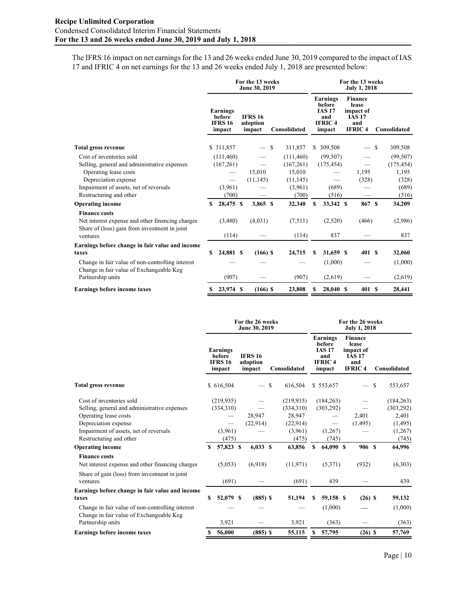The IFRS 16 impact on net earnings for the 13 and 26 weeks ended June 30, 2019 compared to the impact of IAS 17 and IFRIC 4 on net earnings for the 13 and 26 weeks ended July 1, 2018 are presented below:

|                                                                                                                                       | For the 13 weeks<br>June 30, 2019 |                                                       |                                      |    |                         |    | For the 13 weeks<br><b>July 1, 2018</b>                               |                                                                               |                          |   |                         |  |  |
|---------------------------------------------------------------------------------------------------------------------------------------|-----------------------------------|-------------------------------------------------------|--------------------------------------|----|-------------------------|----|-----------------------------------------------------------------------|-------------------------------------------------------------------------------|--------------------------|---|-------------------------|--|--|
|                                                                                                                                       |                                   | <b>Earnings</b><br>before<br><b>IFRS 16</b><br>impact | <b>IFRS 16</b><br>adoption<br>impact |    | Consolidated            |    | Earnings<br>before<br><b>IAS 17</b><br>and<br><b>IFRIC4</b><br>impact | <b>Finance</b><br>lease<br>impact of<br><b>IAS 17</b><br>and<br><b>IFRIC4</b> |                          |   | Consolidated            |  |  |
| <b>Total gross revenue</b>                                                                                                            |                                   | \$ 311,857                                            |                                      | -S | 311,857                 | \$ | 309,508                                                               |                                                                               | $\overline{\phantom{0}}$ | S | 309,508                 |  |  |
| Cost of inventories sold<br>Selling, general and administrative expenses                                                              |                                   | (111, 460)<br>(167,261)                               |                                      |    | (111,460)<br>(167, 261) |    | (99, 507)<br>(175, 454)                                               |                                                                               |                          |   | (99, 507)<br>(175, 454) |  |  |
| Operating lease costs<br>Depreciation expense                                                                                         |                                   |                                                       | 15,010<br>(11, 145)                  |    | 15,010<br>(11, 145)     |    |                                                                       |                                                                               | 1,195<br>(328)           |   | 1,195<br>(328)          |  |  |
| Impairment of assets, net of reversals<br>Restructuring and other                                                                     |                                   | (3,961)<br>(700)                                      |                                      |    | (3,961)<br>(700)        |    | (689)<br>(516)                                                        |                                                                               |                          |   | (689)<br>(516)          |  |  |
| <b>Operating income</b>                                                                                                               | \$                                | 28,475 \$                                             | $3,865$ \$                           |    | 32,340                  | s  | 33,342 \$                                                             |                                                                               | 867 \$                   |   | 34,209                  |  |  |
| <b>Finance costs</b><br>Net interest expense and other financing charges<br>Share of (loss) gain from investment in joint<br>ventures |                                   | (3,480)<br>(114)                                      | (4,031)                              |    | (7,511)<br>(114)        |    | (2,520)<br>837                                                        |                                                                               | (466)                    |   | (2,986)<br>837          |  |  |
| Earnings before change in fair value and income<br>taxes                                                                              | \$                                | 24,881 \$                                             | $(166)$ \$                           |    | 24,715                  | S  | 31,659 \$                                                             |                                                                               | 401 S                    |   | 32,060                  |  |  |
| Change in fair value of non-controlling interest<br>Change in fair value of Exchangeable Keg                                          |                                   |                                                       |                                      |    |                         |    | (1,000)                                                               |                                                                               |                          |   | (1,000)                 |  |  |
| Partnership units                                                                                                                     |                                   | (907)                                                 |                                      |    | (907)                   |    | (2,619)                                                               |                                                                               |                          |   | (2,619)                 |  |  |
| <b>Earnings before income taxes</b>                                                                                                   | \$                                | 23,974 \$                                             | $(166)$ \$                           |    | 23,808                  | s  | 28,040 \$                                                             |                                                                               | 401S                     |   | 28,441                  |  |  |

|                                                                                              | For the 26 weeks<br>June 30, 2019 |                                                |  |                                      |   |              |   | For the 26 weeks<br><b>July 1, 2018</b>                               |  |                                                                               |   |              |  |  |
|----------------------------------------------------------------------------------------------|-----------------------------------|------------------------------------------------|--|--------------------------------------|---|--------------|---|-----------------------------------------------------------------------|--|-------------------------------------------------------------------------------|---|--------------|--|--|
|                                                                                              |                                   | Earnings<br>before<br><b>IFRS 16</b><br>impact |  | <b>IFRS 16</b><br>adoption<br>impact |   | Consolidated |   | Earnings<br>before<br><b>IAS 17</b><br>and<br><b>IFRIC4</b><br>impact |  | <b>Finance</b><br>lease<br>impact of<br><b>IAS 17</b><br>and<br><b>IFRIC4</b> |   | Consolidated |  |  |
| <b>Total gross revenue</b>                                                                   |                                   | \$616,504                                      |  |                                      | S | 616,504      |   | \$553,657                                                             |  |                                                                               | S | 553,657      |  |  |
| Cost of inventories sold                                                                     |                                   | (219, 935)                                     |  |                                      |   | (219, 935)   |   | (184, 263)                                                            |  |                                                                               |   | (184, 263)   |  |  |
| Selling, general and administrative expenses                                                 |                                   | (334,310)                                      |  |                                      |   | (334,310)    |   | (303, 292)                                                            |  |                                                                               |   | (303, 292)   |  |  |
| Operating lease costs                                                                        |                                   |                                                |  | 28,947                               |   | 28,947       |   |                                                                       |  | 2,401                                                                         |   | 2,401        |  |  |
| Depreciation expense                                                                         |                                   |                                                |  | (22.914)                             |   | (22,914)     |   | $\overline{\phantom{0}}$                                              |  | (1, 495)                                                                      |   | (1, 495)     |  |  |
| Impairment of assets, net of reversals                                                       |                                   | (3,961)                                        |  |                                      |   | (3,961)      |   | (1,267)                                                               |  |                                                                               |   | (1,267)      |  |  |
| Restructuring and other                                                                      |                                   | (475)                                          |  |                                      |   | (475)        |   | (745)                                                                 |  |                                                                               |   | (745)        |  |  |
| <b>Operating income</b>                                                                      | S.                                | 57,823 \$                                      |  | $6,033$ \$                           |   | 63,856       | S | 64,090 \$                                                             |  | 906 S                                                                         |   | 64,996       |  |  |
| <b>Finance costs</b>                                                                         |                                   |                                                |  |                                      |   |              |   |                                                                       |  |                                                                               |   |              |  |  |
| Net interest expense and other financing charges                                             |                                   | (5,053)                                        |  | (6.918)                              |   | (11, 971)    |   | (5,371)                                                               |  | (932)                                                                         |   | (6,303)      |  |  |
| Share of gain (loss) from investment in joint                                                |                                   |                                                |  |                                      |   |              |   |                                                                       |  |                                                                               |   |              |  |  |
| ventures                                                                                     |                                   | (691)                                          |  |                                      |   | (691)        |   | 439                                                                   |  |                                                                               |   | 439          |  |  |
| Earnings before change in fair value and income                                              |                                   |                                                |  |                                      |   |              |   |                                                                       |  |                                                                               |   |              |  |  |
| taxes                                                                                        | S                                 | 52,079 \$                                      |  | $(885)$ \$                           |   | 51,194       | S | 59,158 \$                                                             |  | $(26)$ \$                                                                     |   | 59,132       |  |  |
| Change in fair value of non-controlling interest<br>Change in fair value of Exchangeable Keg |                                   |                                                |  |                                      |   |              |   | (1,000)                                                               |  |                                                                               |   | (1,000)      |  |  |
| Partnership units                                                                            |                                   | 3,921                                          |  |                                      |   | 3,921        |   | (363)                                                                 |  |                                                                               |   | (363)        |  |  |
| <b>Earnings before income taxes</b>                                                          |                                   | 56,000                                         |  | $(885)$ \$                           |   | 55,115       | S | 57,795                                                                |  | $(26)$ \$                                                                     |   | 57,769       |  |  |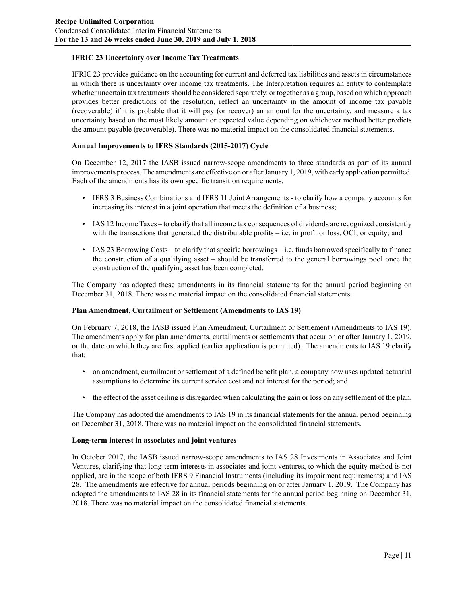## **IFRIC 23 Uncertainty over Income Tax Treatments**

IFRIC 23 provides guidance on the accounting for current and deferred tax liabilities and assets in circumstances in which there is uncertainty over income tax treatments. The Interpretation requires an entity to contemplate whether uncertain tax treatments should be considered separately, or together as a group, based on which approach provides better predictions of the resolution, reflect an uncertainty in the amount of income tax payable (recoverable) if it is probable that it will pay (or recover) an amount for the uncertainty, and measure a tax uncertainty based on the most likely amount or expected value depending on whichever method better predicts the amount payable (recoverable). There was no material impact on the consolidated financial statements.

## **Annual Improvements to IFRS Standards (2015-2017) Cycle**

On December 12, 2017 the IASB issued narrow-scope amendments to three standards as part of its annual improvements process. The amendments are effective on or after January 1, 2019, with early application permitted. Each of the amendments has its own specific transition requirements.

- IFRS 3 Business Combinations and IFRS 11 Joint Arrangements to clarify how a company accounts for increasing its interest in a joint operation that meets the definition of a business;
- IAS 12 Income Taxes to clarify that all income tax consequences of dividends are recognized consistently with the transactions that generated the distributable profits – i.e. in profit or loss, OCI, or equity; and
- IAS 23 Borrowing Costs to clarify that specific borrowings i.e. funds borrowed specifically to finance the construction of a qualifying asset – should be transferred to the general borrowings pool once the construction of the qualifying asset has been completed.

The Company has adopted these amendments in its financial statements for the annual period beginning on December 31, 2018. There was no material impact on the consolidated financial statements.

## **Plan Amendment, Curtailment or Settlement (Amendments to IAS 19)**

On February 7, 2018, the IASB issued Plan Amendment, Curtailment or Settlement (Amendments to IAS 19). The amendments apply for plan amendments, curtailments or settlements that occur on or after January 1, 2019, or the date on which they are first applied (earlier application is permitted). The amendments to IAS 19 clarify that:

- on amendment, curtailment or settlement of a defined benefit plan, a company now uses updated actuarial assumptions to determine its current service cost and net interest for the period; and
- the effect of the asset ceiling is disregarded when calculating the gain or loss on any settlement of the plan.

The Company has adopted the amendments to IAS 19 in its financial statements for the annual period beginning on December 31, 2018. There was no material impact on the consolidated financial statements.

#### **Long-term interest in associates and joint ventures**

In October 2017, the IASB issued narrow-scope amendments to IAS 28 Investments in Associates and Joint Ventures, clarifying that long-term interests in associates and joint ventures, to which the equity method is not applied, are in the scope of both IFRS 9 Financial Instruments (including its impairment requirements) and IAS 28. The amendments are effective for annual periods beginning on or after January 1, 2019. The Company has adopted the amendments to IAS 28 in its financial statements for the annual period beginning on December 31, 2018. There was no material impact on the consolidated financial statements.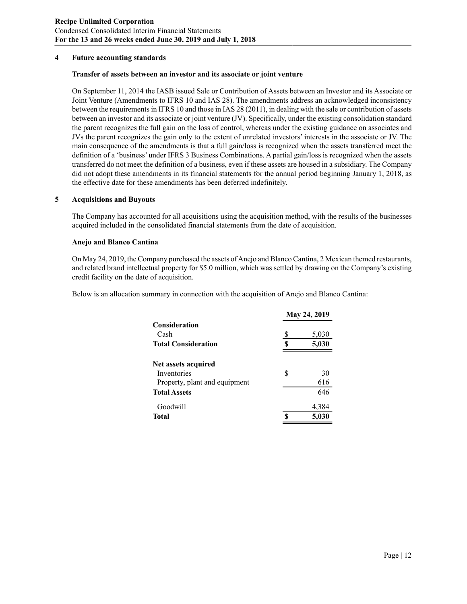#### **4 Future accounting standards**

#### **Transfer of assets between an investor and its associate or joint venture**

On September 11, 2014 the IASB issued Sale or Contribution of Assets between an Investor and its Associate or Joint Venture (Amendments to IFRS 10 and IAS 28). The amendments address an acknowledged inconsistency between the requirements in IFRS 10 and those in IAS 28 (2011), in dealing with the sale or contribution of assets between an investor and its associate or joint venture (JV). Specifically, under the existing consolidation standard the parent recognizes the full gain on the loss of control, whereas under the existing guidance on associates and JVs the parent recognizes the gain only to the extent of unrelated investors' interests in the associate or JV. The main consequence of the amendments is that a full gain/loss is recognized when the assets transferred meet the definition of a 'business' under IFRS 3 Business Combinations. A partial gain/loss is recognized when the assets transferred do not meet the definition of a business, even if these assets are housed in a subsidiary. The Company did not adopt these amendments in its financial statements for the annual period beginning January 1, 2018, as the effective date for these amendments has been deferred indefinitely.

#### **5 Acquisitions and Buyouts**

The Company has accounted for all acquisitions using the acquisition method, with the results of the businesses acquired included in the consolidated financial statements from the date of acquisition.

#### **Anejo and Blanco Cantina**

On May 24, 2019, the Company purchased the assets of Anejo and Blanco Cantina, 2 Mexican themed restaurants, and related brand intellectual property for \$5.0 million, which was settled by drawing on the Company's existing credit facility on the date of acquisition.

Below is an allocation summary in connection with the acquisition of Anejo and Blanco Cantina:

|                               |   | May 24, 2019 |
|-------------------------------|---|--------------|
| <b>Consideration</b>          |   |              |
| Cash                          | S | 5,030        |
| <b>Total Consideration</b>    | Я | 5,030        |
| Net assets acquired           |   |              |
| Inventories                   | S | 30           |
| Property, plant and equipment |   | 616          |
| <b>Total Assets</b>           |   | 646          |
| Goodwill                      |   | 4,384        |
| Total                         |   | 5,030        |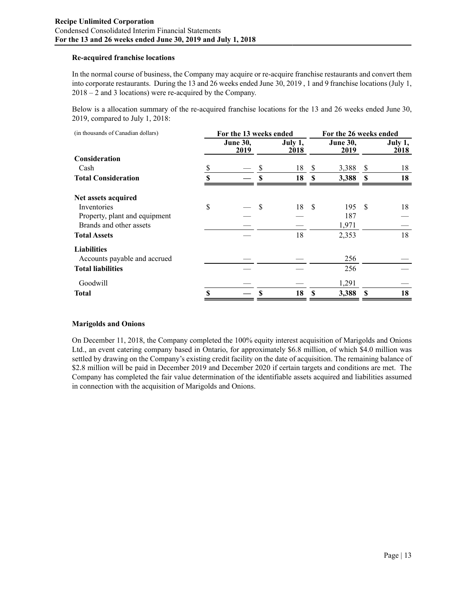## **Re-acquired franchise locations**

In the normal course of business, the Company may acquire or re-acquire franchise restaurants and convert them into corporate restaurants. During the 13 and 26 weeks ended June 30, 2019 , 1 and 9 franchise locations (July 1, 2018 – 2 and 3 locations) were re-acquired by the Company.

Below is a allocation summary of the re-acquired franchise locations for the 13 and 26 weeks ended June 30, 2019, compared to July 1, 2018:

| (in thousands of Canadian dollars) | For the 13 weeks ended  |    |                 | For the 26 weeks ended |                         |          |                 |  |  |
|------------------------------------|-------------------------|----|-----------------|------------------------|-------------------------|----------|-----------------|--|--|
|                                    | <b>June 30,</b><br>2019 |    | July 1,<br>2018 |                        | <b>June 30,</b><br>2019 |          | July 1,<br>2018 |  |  |
| <b>Consideration</b>               |                         |    |                 |                        |                         |          |                 |  |  |
| Cash                               |                         | \$ | 18              | S                      | 3,388                   | -S       | 18              |  |  |
| <b>Total Consideration</b>         | \$                      | \$ | 18              | S                      | 3,388                   | <b>S</b> | 18              |  |  |
| Net assets acquired                |                         |    |                 |                        |                         |          |                 |  |  |
| Inventories                        | \$                      | \$ | 18 \$           |                        | 195                     | -\$      | 18              |  |  |
| Property, plant and equipment      |                         |    |                 |                        | 187                     |          |                 |  |  |
| Brands and other assets            |                         |    |                 |                        | 1,971                   |          |                 |  |  |
| <b>Total Assets</b>                |                         |    | 18              |                        | 2,353                   |          | 18              |  |  |
| <b>Liabilities</b>                 |                         |    |                 |                        |                         |          |                 |  |  |
| Accounts payable and accrued       |                         |    |                 |                        | 256                     |          |                 |  |  |
| <b>Total liabilities</b>           |                         |    |                 |                        | 256                     |          |                 |  |  |
| Goodwill                           |                         |    |                 |                        | 1,291                   |          |                 |  |  |
| <b>Total</b>                       | \$                      | S  | 18              | S                      | 3,388                   | -S       | 18              |  |  |

## **Marigolds and Onions**

On December 11, 2018, the Company completed the 100% equity interest acquisition of Marigolds and Onions Ltd., an event catering company based in Ontario, for approximately \$6.8 million, of which \$4.0 million was settled by drawing on the Company's existing credit facility on the date of acquisition. The remaining balance of \$2.8 million will be paid in December 2019 and December 2020 if certain targets and conditions are met. The Company has completed the fair value determination of the identifiable assets acquired and liabilities assumed in connection with the acquisition of Marigolds and Onions.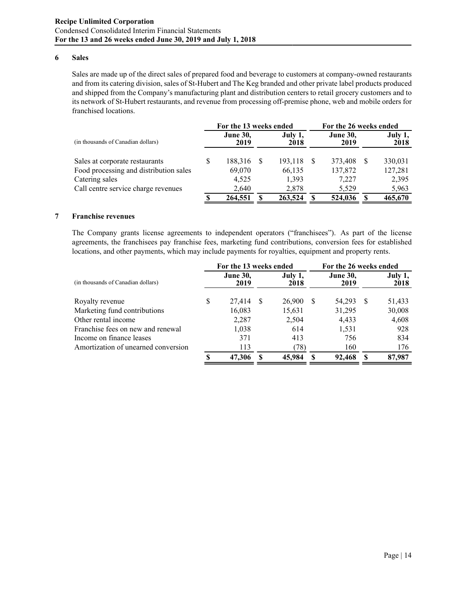#### **6 Sales**

Sales are made up of the direct sales of prepared food and beverage to customers at company-owned restaurants and from its catering division, sales of St-Hubert and The Keg branded and other private label products produced and shipped from the Company's manufacturing plant and distribution centers to retail grocery customers and to its network of St-Hubert restaurants, and revenue from processing off-premise phone, web and mobile orders for franchised locations.

|                                        |   | For the 13 weeks ended  |                 |                         | For the 26 weeks ended |                 |  |  |
|----------------------------------------|---|-------------------------|-----------------|-------------------------|------------------------|-----------------|--|--|
| (in thousands of Canadian dollars)     |   | <b>June 30,</b><br>2019 | July 1,<br>2018 | <b>June 30,</b><br>2019 |                        | July 1,<br>2018 |  |  |
| Sales at corporate restaurants         | S | 188,316 \$              | 193,118         | 373.408                 | -S                     | 330,031         |  |  |
| Food processing and distribution sales |   | 69,070                  | 66,135          | 137,872                 |                        | 127,281         |  |  |
| Catering sales                         |   | 4.525                   | 1,393           | 7,227                   |                        | 2,395           |  |  |
| Call centre service charge revenues    |   | 2,640                   | 2.878           | 5.529                   |                        | 5,963           |  |  |
|                                        |   | 264,551                 | 263,524         | 524,036                 |                        | 465,670         |  |  |

#### **7 Franchise revenues**

The Company grants license agreements to independent operators ("franchisees"). As part of the license agreements, the franchisees pay franchise fees, marketing fund contributions, conversion fees for established locations, and other payments, which may include payments for royalties, equipment and property rents.

|                                     |   | For the 13 weeks ended  |                 | For the 26 weeks ended |                         |     |                 |  |  |
|-------------------------------------|---|-------------------------|-----------------|------------------------|-------------------------|-----|-----------------|--|--|
| (in thousands of Canadian dollars)  |   | <b>June 30,</b><br>2019 | July 1,<br>2018 |                        | <b>June 30,</b><br>2019 |     | July 1,<br>2018 |  |  |
| Royalty revenue                     | S | 27,414                  | 26,900          | -S                     | 54,293                  | -S  | 51,433          |  |  |
| Marketing fund contributions        |   | 16,083                  | 15,631          |                        | 31,295                  |     | 30,008          |  |  |
| Other rental income                 |   | 2,287                   | 2,504           |                        | 4,433                   |     | 4,608           |  |  |
| Franchise fees on new and renewal   |   | 1,038                   | 614             |                        | 1,531                   |     | 928             |  |  |
| Income on finance leases            |   | 371                     | 413             |                        | 756                     |     | 834             |  |  |
| Amortization of unearned conversion |   | 113                     | (78)            |                        | 160                     |     | 176             |  |  |
|                                     |   | 47,306                  | 45,984          |                        | 92,468                  | -SS | 87,987          |  |  |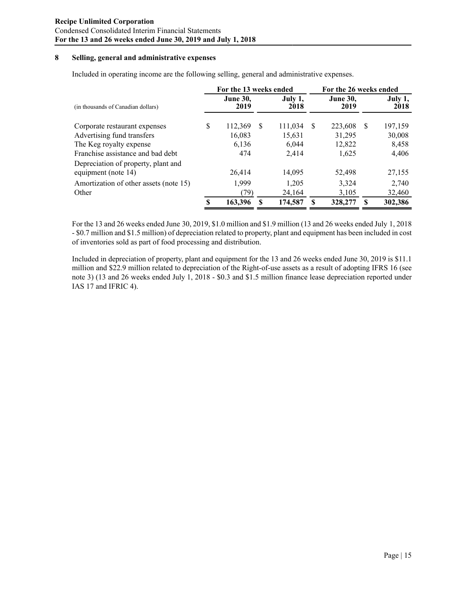## **8 Selling, general and administrative expenses**

Included in operating income are the following selling, general and administrative expenses.

|                                        |   | For the 13 weeks ended  |   |                 |    |                         | For the 26 weeks ended |                 |  |  |
|----------------------------------------|---|-------------------------|---|-----------------|----|-------------------------|------------------------|-----------------|--|--|
| (in thousands of Canadian dollars)     |   | <b>June 30,</b><br>2019 |   | July 1,<br>2018 |    | <b>June 30,</b><br>2019 |                        | July 1,<br>2018 |  |  |
| Corporate restaurant expenses          | S | 112,369                 | S | 111,034         | -S | 223,608                 | S                      | 197,159         |  |  |
| Advertising fund transfers             |   | 16,083                  |   | 15,631          |    | 31,295                  |                        | 30,008          |  |  |
| The Keg royalty expense                |   | 6,136                   |   | 6.044           |    | 12,822                  |                        | 8,458           |  |  |
| Franchise assistance and bad debt      |   | 474                     |   | 2,414           |    | 1,625                   |                        | 4,406           |  |  |
| Depreciation of property, plant and    |   |                         |   |                 |    |                         |                        |                 |  |  |
| equipment (note 14)                    |   | 26,414                  |   | 14,095          |    | 52,498                  |                        | 27,155          |  |  |
| Amortization of other assets (note 15) |   | 1,999                   |   | 1,205           |    | 3,324                   |                        | 2,740           |  |  |
| Other                                  |   | (79)                    |   | 24,164          |    | 3,105                   |                        | 32,460          |  |  |
|                                        | S | 163,396                 |   | 174,587         |    | 328,277                 | S                      | 302,386         |  |  |

For the 13 and 26 weeks ended June 30, 2019, \$1.0 million and \$1.9 million (13 and 26 weeks ended July 1, 2018 - \$0.7 million and \$1.5 million) of depreciation related to property, plant and equipment has been included in cost of inventories sold as part of food processing and distribution.

Included in depreciation of property, plant and equipment for the 13 and 26 weeks ended June 30, 2019 is \$11.1 million and \$22.9 million related to depreciation of the Right-of-use assets as a result of adopting IFRS 16 (see note 3) (13 and 26 weeks ended July 1, 2018 - \$0.3 and \$1.5 million finance lease depreciation reported under IAS 17 and IFRIC 4).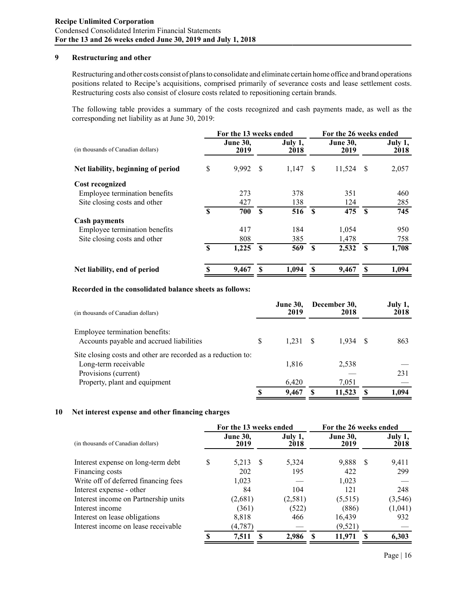## **9 Restructuring and other**

Restructuring and other costs consist of plans to consolidate and eliminate certain home office and brand operations positions related to Recipe's acquisitions, comprised primarily of severance costs and lease settlement costs. Restructuring costs also consist of closure costs related to repositioning certain brands.

The following table provides a summary of the costs recognized and cash payments made, as well as the corresponding net liability as at June 30, 2019:

|                                    |          | For the 13 weeks ended  |               |                 |              |                         | For the 26 weeks ended |                 |  |  |
|------------------------------------|----------|-------------------------|---------------|-----------------|--------------|-------------------------|------------------------|-----------------|--|--|
| (in thousands of Canadian dollars) |          | <b>June 30,</b><br>2019 |               | July 1,<br>2018 |              | <b>June 30,</b><br>2019 |                        | July 1,<br>2018 |  |  |
| Net liability, beginning of period | \$       | 9,992                   | <sup>\$</sup> | 1,147           | -S           | 11,524                  | -S                     | 2,057           |  |  |
| <b>Cost recognized</b>             |          |                         |               |                 |              |                         |                        |                 |  |  |
| Employee termination benefits      |          | 273                     |               | 378             |              | 351                     |                        | 460             |  |  |
| Site closing costs and other       |          | 427                     |               | 138             |              | 124                     |                        | 285             |  |  |
|                                    | \$       | 700                     | $\mathbf{s}$  | 516             | $\mathbf{s}$ | 475                     | $\mathbf{\mathcal{S}}$ | 745             |  |  |
| <b>Cash payments</b>               |          |                         |               |                 |              |                         |                        |                 |  |  |
| Employee termination benefits      |          | 417                     |               | 184             |              | 1,054                   |                        | 950             |  |  |
| Site closing costs and other       |          | 808                     |               | 385             |              | 1,478                   |                        | 758             |  |  |
|                                    | <b>S</b> | 1,225                   | £.            | 569             | $\mathbf{s}$ | 2,532                   | $\mathbf{s}$           | 1,708           |  |  |
| Net liability, end of period       | \$       | 9,467                   |               | 1,094           |              | 9,467                   | S                      | 1,094           |  |  |

#### **Recorded in the consolidated balance sheets as follows:**

| (in thousands of Canadian dollars)                                                   |   | <b>June 30,</b><br>2019 |    | December 30,<br>2018 | July 1,<br>2018 |
|--------------------------------------------------------------------------------------|---|-------------------------|----|----------------------|-----------------|
| Employee termination benefits:<br>Accounts payable and accrued liabilities           | S | 1.231                   | -8 | 1.934 S              | 863             |
| Site closing costs and other are recorded as a reduction to:<br>Long-term receivable |   | 1,816                   |    | 2.538                |                 |
| Provisions (current)<br>Property, plant and equipment                                |   | 6.420                   |    | 7.051                | 231             |
|                                                                                      | S | 9.467                   |    | 11,523               | 1.094           |

#### **10 Net interest expense and other financing charges**

|                                      |    | For the 13 weeks ended  |     |                 |                         | For the 26 weeks ended |                 |  |  |
|--------------------------------------|----|-------------------------|-----|-----------------|-------------------------|------------------------|-----------------|--|--|
| (in thousands of Canadian dollars)   |    | <b>June 30,</b><br>2019 |     | July 1,<br>2018 | <b>June 30,</b><br>2019 |                        | July 1,<br>2018 |  |  |
| Interest expense on long-term debt   | \$ | 5,213                   | - S | 5,324           | 9,888                   | -S                     | 9,411           |  |  |
| Financing costs                      |    | 202                     |     | 195             | 422                     |                        | 299             |  |  |
| Write off of deferred financing fees |    | 1,023                   |     |                 | 1,023                   |                        |                 |  |  |
| Interest expense - other             |    | 84                      |     | 104             | 121                     |                        | 248             |  |  |
| Interest income on Partnership units |    | (2,681)                 |     | (2,581)         | (5,515)                 |                        | (3, 546)        |  |  |
| Interest income                      |    | (361)                   |     | (522)           | (886)                   |                        | (1,041)         |  |  |
| Interest on lease obligations        |    | 8,818                   |     | 466             | 16,439                  |                        | 932             |  |  |
| Interest income on lease receivable  |    | (4,787)                 |     |                 | (9, 521)                |                        |                 |  |  |
|                                      | S  | 7.511                   |     | 2.986           | 11,971                  |                        | 6.303           |  |  |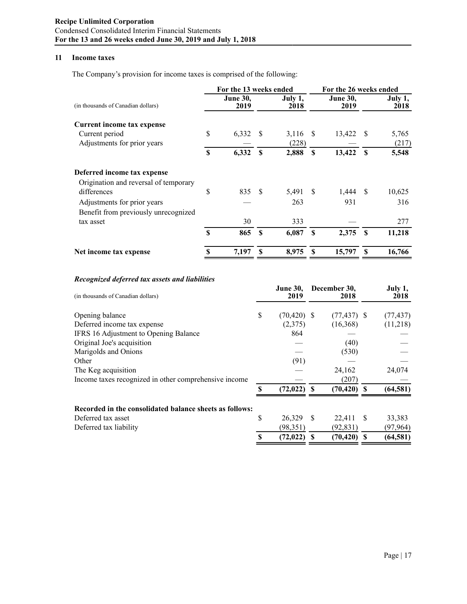## **11 Income taxes**

The Company's provision for income taxes is comprised of the following:

|                                       |          | For the 13 weeks ended                                                |      |       |                 | For the 26 weeks ended |          |        |  |  |
|---------------------------------------|----------|-----------------------------------------------------------------------|------|-------|-----------------|------------------------|----------|--------|--|--|
| (in thousands of Canadian dollars)    |          | <b>June 30,</b><br><b>June 30,</b><br>July 1,<br>2019<br>2018<br>2019 |      |       | July 1,<br>2018 |                        |          |        |  |  |
| Current income tax expense            |          |                                                                       |      |       |                 |                        |          |        |  |  |
| Current period                        | \$       | 6,332                                                                 | - \$ | 3,116 | - S             | 13,422 \$              |          | 5,765  |  |  |
| Adjustments for prior years           |          |                                                                       |      | (228) |                 |                        |          | (217)  |  |  |
|                                       | \$       | 6,332                                                                 | S    | 2,888 | S               | 13,422                 | S        | 5,548  |  |  |
| Deferred income tax expense           |          |                                                                       |      |       |                 |                        |          |        |  |  |
| Origination and reversal of temporary |          |                                                                       |      |       |                 |                        |          |        |  |  |
| differences                           | \$       | 835 \$                                                                |      | 5,491 | - \$            | $1,444$ \$             |          | 10,625 |  |  |
| Adjustments for prior years           |          |                                                                       |      | 263   |                 | 931                    |          | 316    |  |  |
| Benefit from previously unrecognized  |          |                                                                       |      |       |                 |                        |          |        |  |  |
| tax asset                             |          | 30                                                                    |      | 333   |                 |                        |          | 277    |  |  |
|                                       | <b>S</b> | 865                                                                   | S    | 6,087 | S               | 2,375                  | <b>S</b> | 11,218 |  |  |
| Net income tax expense                | \$       | 7,197                                                                 |      | 8,975 |                 | 15,797                 | S        | 16,766 |  |  |

## *Recognized deferred tax assets and liabilities*

| (in thousands of Canadian dollars)                      |    | <b>June 30,</b><br>2019 |    | December 30,<br>2018 |    | July 1,<br>2018 |
|---------------------------------------------------------|----|-------------------------|----|----------------------|----|-----------------|
| Opening balance                                         | \$ | $(70, 420)$ \$          |    | $(77, 437)$ \$       |    | (77, 437)       |
| Deferred income tax expense                             |    | (2,375)                 |    | (16,368)             |    | (11,218)        |
| IFRS 16 Adjustment to Opening Balance                   |    | 864                     |    |                      |    |                 |
| Original Joe's acquisition                              |    |                         |    | (40)                 |    |                 |
| Marigolds and Onions                                    |    |                         |    | (530)                |    |                 |
| Other                                                   |    | (91)                    |    |                      |    |                 |
| The Keg acquisition                                     |    |                         |    | 24,162               |    | 24,074          |
| Income taxes recognized in other comprehensive income   |    |                         |    | (207)                |    |                 |
|                                                         | S  | (72, 022)               | -S | $(70, 420)$ \$       |    | (64, 581)       |
| Recorded in the consolidated balance sheets as follows: |    |                         |    |                      |    |                 |
| Deferred tax asset                                      | \$ | 26,329                  | -S | 22,411               | -S | 33,383          |
| Deferred tax liability                                  |    | (98, 351)               |    | (92, 831)            |    | (97, 964)       |
|                                                         |    | (72, 022)               |    | (70, 420)            | -S | (64, 581)       |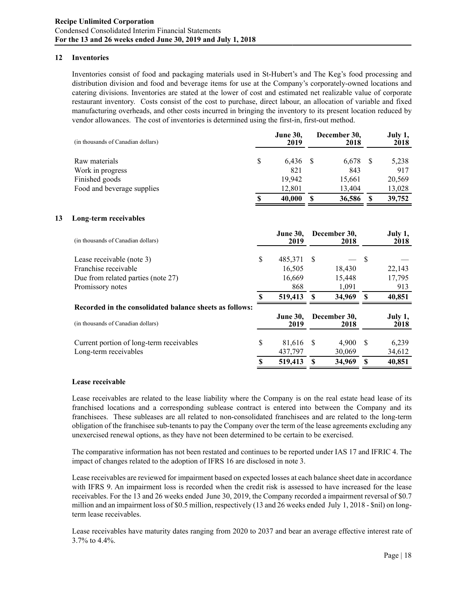## **12 Inventories**

Inventories consist of food and packaging materials used in St-Hubert's and The Keg's food processing and distribution division and food and beverage items for use at the Company's corporately-owned locations and catering divisions. Inventories are stated at the lower of cost and estimated net realizable value of corporate restaurant inventory. Costs consist of the cost to purchase, direct labour, an allocation of variable and fixed manufacturing overheads, and other costs incurred in bringing the inventory to its present location reduced by vendor allowances. The cost of inventories is determined using the first-in, first-out method.

|    | (in thousands of Canadian dollars)                      |    | <b>June 30,</b><br>2019 |              | December 30,<br>2018 |               | July 1,<br>2018 |
|----|---------------------------------------------------------|----|-------------------------|--------------|----------------------|---------------|-----------------|
|    | Raw materials                                           | \$ | 6,436                   | <sup>S</sup> | 6,678                | <sup>\$</sup> | 5,238           |
|    | Work in progress                                        |    | 821                     |              | 843                  |               | 917             |
|    | Finished goods                                          |    | 19,942                  |              | 15,661               |               | 20,569          |
|    | Food and beverage supplies                              |    | 12,801                  |              | 13,404               |               | 13,028          |
|    |                                                         | S  | 40,000                  | <b>S</b>     | 36,586               | S             | 39,752          |
| 13 | Long-term receivables                                   |    |                         |              |                      |               |                 |
|    | (in thousands of Canadian dollars)                      |    | <b>June 30,</b><br>2019 |              | December 30,<br>2018 |               | July 1,<br>2018 |
|    | Lease receivable (note 3)                               | \$ | 485,371                 | -\$          |                      | S             |                 |
|    | Franchise receivable                                    |    | 16,505                  |              | 18,430               |               | 22,143          |
|    | Due from related parties (note 27)                      |    | 16,669                  |              | 15,448               |               | 17,795          |
|    | Promissory notes                                        |    | 868                     |              | 1,091                |               | 913             |
|    |                                                         | S  | 519,413                 | \$           | 34,969               | S             | 40,851          |
|    | Recorded in the consolidated balance sheets as follows: |    |                         |              |                      |               |                 |
|    | (in thousands of Canadian dollars)                      |    | <b>June 30,</b><br>2019 |              | December 30,<br>2018 |               | July 1,<br>2018 |

# Current portion of long-term receivables  $$ 81,616 \text{ s} 4,900 \text{ s} 6,239$ Long-term receivables 437,797 30,069 34,612 **\$ 519,413 \$ 34,969 \$ 40,851**

#### **Lease receivable**

Lease receivables are related to the lease liability where the Company is on the real estate head lease of its franchised locations and a corresponding sublease contract is entered into between the Company and its franchisees. These subleases are all related to non-consolidated franchisees and are related to the long-term obligation of the franchisee sub-tenants to pay the Company over the term of the lease agreements excluding any unexercised renewal options, as they have not been determined to be certain to be exercised.

The comparative information has not been restated and continues to be reported under IAS 17 and IFRIC 4. The impact of changes related to the adoption of IFRS 16 are disclosed in note 3.

Lease receivables are reviewed for impairment based on expected losses at each balance sheet date in accordance with IFRS 9. An impairment loss is recorded when the credit risk is assessed to have increased for the lease receivables. For the 13 and 26 weeks ended June 30, 2019, the Company recorded a impairment reversal of \$0.7 million and an impairment loss of \$0.5 million, respectively (13 and 26 weeks ended July 1, 2018 - \$nil) on longterm lease receivables.

Lease receivables have maturity dates ranging from 2020 to 2037 and bear an average effective interest rate of 3.7% to 4.4%.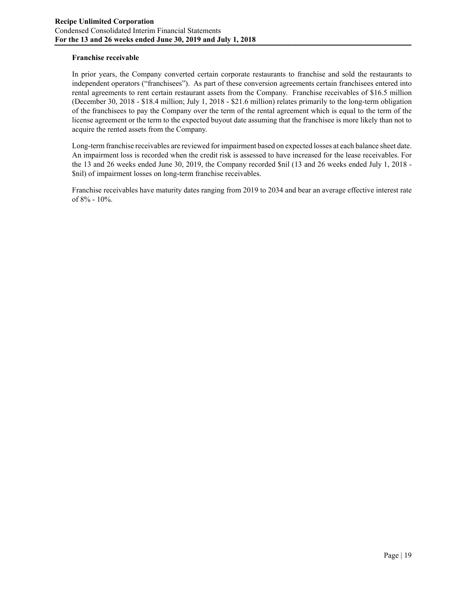## **Franchise receivable**

In prior years, the Company converted certain corporate restaurants to franchise and sold the restaurants to independent operators ("franchisees"). As part of these conversion agreements certain franchisees entered into rental agreements to rent certain restaurant assets from the Company. Franchise receivables of \$16.5 million (December 30, 2018 - \$18.4 million; July 1, 2018 - \$21.6 million) relates primarily to the long-term obligation of the franchisees to pay the Company over the term of the rental agreement which is equal to the term of the license agreement or the term to the expected buyout date assuming that the franchisee is more likely than not to acquire the rented assets from the Company.

Long-term franchise receivables are reviewed for impairment based on expected losses at each balance sheet date. An impairment loss is recorded when the credit risk is assessed to have increased for the lease receivables. For the 13 and 26 weeks ended June 30, 2019, the Company recorded \$nil (13 and 26 weeks ended July 1, 2018 - \$nil) of impairment losses on long-term franchise receivables.

Franchise receivables have maturity dates ranging from 2019 to 2034 and bear an average effective interest rate of 8% - 10%.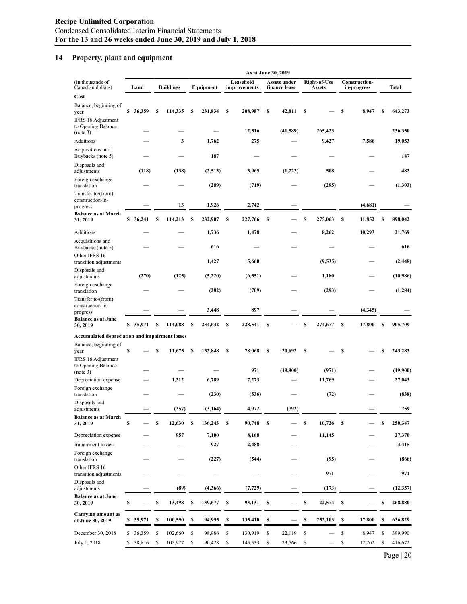# **14 Property, plant and equipment**

|                                                          |           |   |                  | As at June 30, 2019 |           |    |                           |    |                                      |    |                        |    |                              |    |           |
|----------------------------------------------------------|-----------|---|------------------|---------------------|-----------|----|---------------------------|----|--------------------------------------|----|------------------------|----|------------------------------|----|-----------|
| (in thousands of<br>Canadian dollars)                    | Land      |   | <b>Buildings</b> |                     | Equipment |    | Leasehold<br>improvements |    | <b>Assets under</b><br>finance lease |    | Right-of-Use<br>Assets |    | Construction-<br>in-progress |    | Total     |
| Cost                                                     |           |   |                  |                     |           |    |                           |    |                                      |    |                        |    |                              |    |           |
| Balance, beginning of<br>year<br>IFRS 16 Adjustment      | \$36,359  | S | 114,335          | \$                  | 231,834   | \$ | 208,987                   | \$ | 42,811                               | \$ |                        | \$ | 8,947                        | \$ | 643,273   |
| to Opening Balance<br>(note 3)                           |           |   |                  |                     |           |    | 12,516                    |    | (41,589)                             |    | 265,423                |    |                              |    | 236,350   |
| Additions                                                |           |   | 3                |                     | 1,762     |    | 275                       |    |                                      |    | 9,427                  |    | 7,586                        |    | 19,053    |
| Acquisitions and<br>Buybacks (note 5)                    |           |   |                  |                     | 187       |    |                           |    |                                      |    |                        |    |                              |    | 187       |
| Disposals and<br>adjustments                             | (118)     |   | (138)            |                     | (2,513)   |    | 3,965                     |    | (1,222)                              |    | 508                    |    |                              |    | 482       |
| Foreign exchange<br>translation<br>Transfer to/(from)    |           |   |                  |                     | (289)     |    | (719)                     |    |                                      |    | (295)                  |    |                              |    | (1,303)   |
| construction-in-<br>progress                             |           |   | 13               |                     | 1,926     |    | 2,742                     |    |                                      |    |                        |    | (4,681)                      |    |           |
| <b>Balance as at March</b><br>31, 2019                   | \$ 36,241 | s | 114,213          | \$                  | 232,907   | \$ | 227,766                   | S  |                                      | \$ | 275,063                | S  | 11,852                       | S  | 898,042   |
| Additions                                                |           |   |                  |                     | 1,736     |    | 1,478                     |    |                                      |    | 8,262                  |    | 10,293                       |    | 21,769    |
| Acquisitions and<br>Buybacks (note 5)                    |           |   |                  |                     | 616       |    |                           |    |                                      |    |                        |    |                              |    | 616       |
| Other IFRS 16<br>transition adjustments                  |           |   |                  |                     | 1,427     |    | 5,660                     |    |                                      |    | (9, 535)               |    |                              |    | (2, 448)  |
| Disposals and<br>adjustments                             | (270)     |   | (125)            |                     | (5,220)   |    | (6, 551)                  |    |                                      |    | 1,180                  |    |                              |    | (10,986)  |
| Foreign exchange<br>translation<br>Transfer to/(from)    |           |   |                  |                     | (282)     |    | (709)                     |    |                                      |    | (293)                  |    |                              |    | (1, 284)  |
| construction-in-<br>progress                             |           |   |                  |                     | 3,448     |    | 897                       |    |                                      |    |                        |    | (4,345)                      |    |           |
| <b>Balance as at June</b><br>30, 2019                    | \$35,971  | S | 114,088          | \$                  | 234,632   | \$ | 228,541                   | S  |                                      | \$ | 274,677                | S  | 17,800                       | \$ | 905,709   |
| Accumulated depreciation and impairment losses           |           |   |                  |                     |           |    |                           |    |                                      |    |                        |    |                              |    |           |
| Balance, beginning of<br>year                            | \$        | S | 11,675           | s                   | 132,848   | S  | 78,068                    | S  | 20,692                               | S  |                        | \$ |                              | \$ | 243,283   |
| IFRS 16 Adjustment<br>to Opening Balance<br>(note 3)     |           |   |                  |                     |           |    | 971                       |    | (19,900)                             |    | (971)                  |    |                              |    | (19,900)  |
| Depreciation expense                                     |           |   | 1,212            |                     | 6,789     |    | 7,273                     |    |                                      |    | 11,769                 |    |                              |    | 27,043    |
| Foreign exchange<br>translation                          |           |   |                  |                     | (230)     |    | (536)                     |    |                                      |    | (72)                   |    |                              |    | (838)     |
| Disposals and<br>adjustments                             |           |   | (257)            |                     | (3, 164)  |    | 4,972                     |    | (792)                                |    |                        |    |                              |    | 759       |
| <b>Balance as at March</b><br>31, 2019                   | \$        | S | 12,630           | \$                  | 136,243   | \$ | 90,748                    | \$ |                                      | \$ | 10,726                 | S  |                              | \$ | 250,347   |
| Depreciation expense                                     |           |   | 957              |                     | 7,100     |    | 8,168                     |    |                                      |    | 11,145                 |    |                              |    | 27,370    |
| Impairment losses                                        |           |   |                  |                     | 927       |    | 2,488                     |    |                                      |    |                        |    |                              |    | 3,415     |
| Foreign exchange<br>translation                          |           |   |                  |                     | (227)     |    | (544)                     |    |                                      |    | (95)                   |    |                              |    | (866)     |
| Other IFRS 16<br>transition adjustments<br>Disposals and |           |   |                  |                     |           |    |                           |    |                                      |    | 971                    |    |                              |    | 971       |
| adjustments                                              |           |   | (89)             |                     | (4,366)   |    | (7, 729)                  |    |                                      |    | (173)                  |    |                              |    | (12, 357) |
| <b>Balance as at June</b><br>30, 2019                    | \$        | S | 13,498           | S                   | 139,677   | S  | 93,131                    | \$ |                                      | \$ | 22,574                 | S  |                              | \$ | 268,880   |
| <b>Carrying amount as</b><br>at June 30, 2019            | \$ 35,971 | S | 100,590          | S                   | 94,955    | S  | 135,410                   | S  |                                      | \$ | 252,103                | S  | 17,800                       | S  | 636,829   |
| December 30, 2018                                        | \$ 36,359 | S | 102,660          | \$                  | 98,986    | \$ | 130,919                   | \$ | 22,119                               | \$ |                        | \$ | 8,947                        | S  | 399,990   |
| July 1, 2018                                             | \$ 38,816 | S | 105,927          | \$                  | 90,428    | \$ | 145,533                   | \$ | 23,766                               | \$ |                        | \$ | 12,202                       | S  | 416,672   |

Page | 20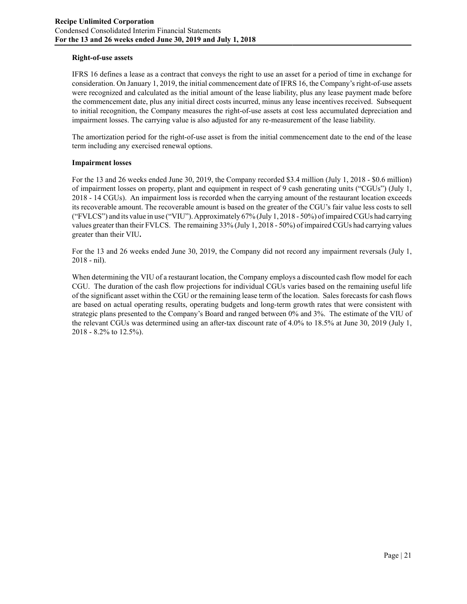## **Right-of-use assets**

IFRS 16 defines a lease as a contract that conveys the right to use an asset for a period of time in exchange for consideration. On January 1, 2019, the initial commencement date of IFRS 16, the Company's right-of-use assets were recognized and calculated as the initial amount of the lease liability, plus any lease payment made before the commencement date, plus any initial direct costs incurred, minus any lease incentives received. Subsequent to initial recognition, the Company measures the right-of-use assets at cost less accumulated depreciation and impairment losses. The carrying value is also adjusted for any re-measurement of the lease liability.

The amortization period for the right-of-use asset is from the initial commencement date to the end of the lease term including any exercised renewal options.

#### **Impairment losses**

For the 13 and 26 weeks ended June 30, 2019, the Company recorded \$3.4 million (July 1, 2018 - \$0.6 million) of impairment losses on property, plant and equipment in respect of 9 cash generating units ("CGUs") (July 1, 2018 - 14 CGUs). An impairment loss is recorded when the carrying amount of the restaurant location exceeds its recoverable amount. The recoverable amount is based on the greater of the CGU's fair value less costs to sell ("FVLCS") and its value in use ("VIU"). Approximately 67% (July 1, 2018 - 50%) of impaired CGUs had carrying values greater than their FVLCS. The remaining 33% (July 1, 2018 - 50%) of impaired CGUs had carrying values greater than their VIU**.** 

For the 13 and 26 weeks ended June 30, 2019, the Company did not record any impairment reversals (July 1, 2018 - nil).

When determining the VIU of a restaurant location, the Company employs a discounted cash flow model for each CGU. The duration of the cash flow projections for individual CGUs varies based on the remaining useful life of the significant asset within the CGU or the remaining lease term of the location. Sales forecasts for cash flows are based on actual operating results, operating budgets and long-term growth rates that were consistent with strategic plans presented to the Company's Board and ranged between 0% and 3%. The estimate of the VIU of the relevant CGUs was determined using an after-tax discount rate of 4.0% to 18.5% at June 30, 2019 (July 1, 2018 - 8.2% to 12.5%).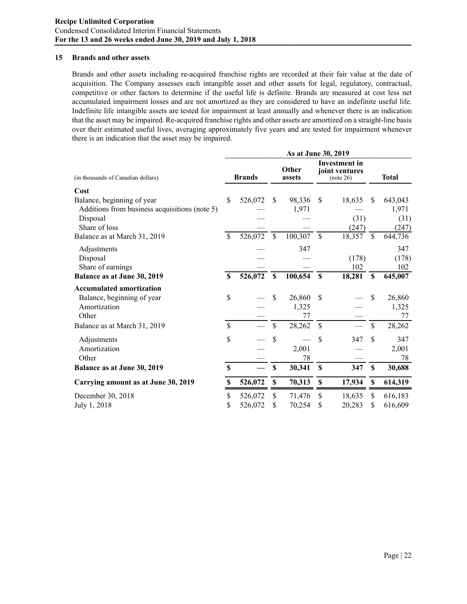#### **15 Brands and other assets**

Brands and other assets including re-acquired franchise rights are recorded at their fair value at the date of acquisition. The Company assesses each intangible asset and other assets for legal, regulatory, contractual, competitive or other factors to determine if the useful life is definite. Brands are measured at cost less net accumulated impairment losses and are not amortized as they are considered to have an indefinite useful life. Indefinite life intangible assets are tested for impairment at least annually and whenever there is an indication that the asset may be impaired. Re-acquired franchise rights and other assets are amortized on a straight-line basis over their estimated useful lives, averaging approximately five years and are tested for impairment whenever there is an indication that the asset may be impaired.

|                                               | As at June 30, 2019 |               |                    |                 |                    |                                                     |             |              |  |  |  |  |  |
|-----------------------------------------------|---------------------|---------------|--------------------|-----------------|--------------------|-----------------------------------------------------|-------------|--------------|--|--|--|--|--|
| (in thousands of Canadian dollars)            |                     | <b>Brands</b> |                    | Other<br>assets |                    | <b>Investment</b> in<br>joint ventures<br>(note 26) |             | <b>Total</b> |  |  |  |  |  |
| Cost                                          |                     |               |                    |                 |                    |                                                     |             |              |  |  |  |  |  |
| Balance, beginning of year                    | \$                  | 526,072       | \$                 | 98,336          | \$                 | 18,635                                              | \$          | 643,043      |  |  |  |  |  |
| Additions from business acquisitions (note 5) |                     |               |                    | 1,971           |                    |                                                     |             | 1,971        |  |  |  |  |  |
| Disposal                                      |                     |               |                    |                 |                    | (31)                                                |             | (31)         |  |  |  |  |  |
| Share of loss                                 |                     |               |                    |                 |                    | (247)                                               |             | (247)        |  |  |  |  |  |
| Balance as at March 31, 2019                  | $\mathbf{\hat{S}}$  | 526,072       | $\mathbf{\hat{S}}$ | 100,307         | $\mathbf{\hat{S}}$ | 18,357                                              | $\mathbf S$ | 644,736      |  |  |  |  |  |
| Adjustments                                   |                     |               |                    | 347             |                    |                                                     |             | 347          |  |  |  |  |  |
| Disposal                                      |                     |               |                    |                 |                    | (178)                                               |             | (178)        |  |  |  |  |  |
| Share of earnings                             |                     |               |                    |                 |                    | 102                                                 |             | 102          |  |  |  |  |  |
| Balance as at June 30, 2019                   | $\mathbf S$         | 526,072       | \$                 | 100,654         | \$                 | 18,281                                              | \$          | 645,007      |  |  |  |  |  |
| <b>Accumulated amortization</b>               |                     |               |                    |                 |                    |                                                     |             |              |  |  |  |  |  |
| Balance, beginning of year                    | \$                  |               | \$                 | 26,860          | \$                 |                                                     | \$          | 26,860       |  |  |  |  |  |
| Amortization                                  |                     |               |                    | 1,325           |                    |                                                     |             | 1,325        |  |  |  |  |  |
| Other                                         |                     |               |                    | 77              |                    |                                                     |             | 77           |  |  |  |  |  |
| Balance as at March 31, 2019                  | $\mathbf S$         |               | \$                 | 28,262          | $\mathsf{\$}$      |                                                     | \$          | 28,262       |  |  |  |  |  |
| Adjustments                                   | \$                  |               | \$                 |                 | \$                 | 347                                                 | \$          | 347          |  |  |  |  |  |
| Amortization                                  |                     |               |                    | 2,001           |                    |                                                     |             | 2,001        |  |  |  |  |  |
| Other                                         |                     |               |                    | 78              |                    |                                                     |             | 78           |  |  |  |  |  |
| Balance as at June 30, 2019                   | $\mathbf S$         |               | \$                 | 30,341          | \$                 | 347                                                 | $\mathbf S$ | 30,688       |  |  |  |  |  |
| Carrying amount as at June 30, 2019           | \$                  | 526,072       | \$                 | 70,313          | \$                 | 17,934                                              | \$          | 614,319      |  |  |  |  |  |
| December 30, 2018                             | \$                  | 526,072       | \$                 | 71,476          | \$                 | 18,635                                              | \$          | 616,183      |  |  |  |  |  |
| July 1, 2018                                  | \$                  | 526,072       | \$                 | 70,254          | \$                 | 20,283                                              | \$          | 616,609      |  |  |  |  |  |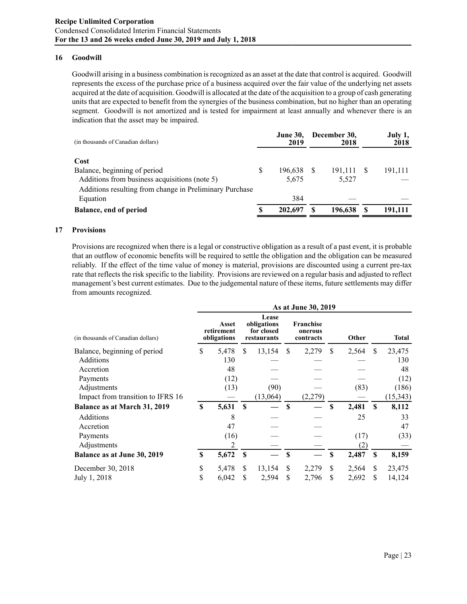#### **16 Goodwill**

Goodwill arising in a business combination is recognized as an asset at the date that control is acquired. Goodwill represents the excess of the purchase price of a business acquired over the fair value of the underlying net assets acquired at the date of acquisition. Goodwill is allocated at the date of the acquisition to a group of cash generating units that are expected to benefit from the synergies of the business combination, but no higher than an operating segment. Goodwill is not amortized and is tested for impairment at least annually and whenever there is an indication that the asset may be impaired.

| (in thousands of Canadian dollars)                      |   | <b>June 30,</b><br>2019 | December 30,<br>2018 | July 1,<br>2018 |
|---------------------------------------------------------|---|-------------------------|----------------------|-----------------|
| Cost                                                    |   |                         |                      |                 |
| Balance, beginning of period                            | S | 196,638                 | 191,111              | 191,111         |
| Additions from business acquisitions (note 5)           |   | 5,675                   | 5,527                |                 |
| Additions resulting from change in Preliminary Purchase |   |                         |                      |                 |
| Equation                                                |   | 384                     |                      |                 |
| <b>Balance, end of period</b>                           |   | 202,697                 | 196.638              | 191.111         |
|                                                         |   |                         |                      |                 |

#### **17 Provisions**

Provisions are recognized when there is a legal or constructive obligation as a result of a past event, it is probable that an outflow of economic benefits will be required to settle the obligation and the obligation can be measured reliably. If the effect of the time value of money is material, provisions are discounted using a current pre-tax rate that reflects the risk specific to the liability. Provisions are reviewed on a regular basis and adjusted to reflect management's best current estimates. Due to the judgemental nature of these items, future settlements may differ from amounts recognized.

|                                    |    |                                    |               |                                                   |               | As at June 30, 2019               |               |       |              |              |
|------------------------------------|----|------------------------------------|---------------|---------------------------------------------------|---------------|-----------------------------------|---------------|-------|--------------|--------------|
| (in thousands of Canadian dollars) |    | Asset<br>retirement<br>obligations |               | Lease<br>obligations<br>for closed<br>restaurants |               | Franchise<br>onerous<br>contracts | Other         |       |              | <b>Total</b> |
| Balance, beginning of period       | \$ | 5,478                              | <sup>\$</sup> | 13,154                                            | <sup>\$</sup> | 2,279                             | <sup>\$</sup> | 2,564 | <sup>S</sup> | 23,475       |
| <b>Additions</b>                   |    | 130                                |               |                                                   |               |                                   |               |       |              | 130          |
| Accretion                          |    | 48                                 |               |                                                   |               |                                   |               |       |              | 48           |
| Payments                           |    | (12)                               |               |                                                   |               |                                   |               |       |              | (12)         |
| Adjustments                        |    | (13)                               |               | (90)                                              |               |                                   |               | (83)  |              | (186)        |
| Impact from transition to IFRS 16  |    |                                    |               | (13,064)                                          |               | (2,279)                           |               |       |              | (15, 343)    |
| Balance as at March 31, 2019       | \$ | 5,631                              | $\mathbf{s}$  |                                                   | S             |                                   | \$            | 2,481 | <b>S</b>     | 8,112        |
| Additions                          |    | 8                                  |               |                                                   |               |                                   |               | 25    |              | 33           |
| Accretion                          |    | 47                                 |               |                                                   |               |                                   |               |       |              | 47           |
| Payments                           |    | (16)                               |               |                                                   |               |                                   |               | (17)  |              | (33)         |
| Adjustments                        |    | 2                                  |               |                                                   |               |                                   |               | (2)   |              |              |
| Balance as at June 30, 2019        | \$ | 5,672                              | <b>S</b>      |                                                   | \$            |                                   | \$            | 2,487 | <b>S</b>     | 8,159        |
| December 30, 2018                  | \$ | 5,478                              | S             | 13,154                                            | S             | 2,279                             | S             | 2,564 | \$.          | 23,475       |
| July 1, 2018                       | \$ | 6,042                              | \$            | 2,594                                             | S             | 2,796                             | S             | 2,692 | S            | 14,124       |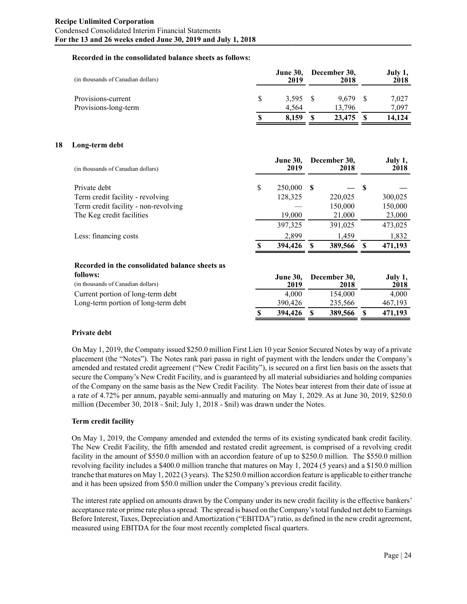#### **Recorded in the consolidated balance sheets as follows:**

| (in thousands of Canadian dollars)         |   | <b>June 30,</b><br>2019 | December 30,<br>2018 | July 1,<br>2018 |
|--------------------------------------------|---|-------------------------|----------------------|-----------------|
| Provisions-current<br>Provisions-long-term |   | 3.595<br>4.564          | 9.679<br>13.796      | 7.027<br>7.097  |
|                                            | S | 8.159                   | 23,475               | 14.124          |

#### **18 Long-term debt**

| (in thousands of Canadian dollars)   |   | <b>June 30,</b><br>2019 |     | December 30,<br>2018 |    | July 1,<br>2018 |
|--------------------------------------|---|-------------------------|-----|----------------------|----|-----------------|
| Private debt                         | S | 250,000                 | -SS |                      | -8 |                 |
| Term credit facility - revolving     |   | 128,325                 |     | 220,025              |    | 300,025         |
| Term credit facility - non-revolving |   |                         |     | 150,000              |    | 150,000         |
| The Keg credit facilities            |   | 19,000                  |     | 21,000               |    | 23,000          |
|                                      |   | 397,325                 |     | 391,025              |    | 473,025         |
| Less: financing costs                |   | 2,899                   |     | 1,459                |    | 1,832           |
|                                      |   | 394,426                 |     | 389,566              |    | 471,193         |

## **Recorded in the consolidated balance sheets as**

| follows:                            | <b>June 30,</b> |  | December 30, | July 1, |
|-------------------------------------|-----------------|--|--------------|---------|
| (in thousands of Canadian dollars)  | 2019            |  | 2018         | 2018    |
| Current portion of long-term debt   | 4.000           |  | 154,000      | 4.000   |
| Long-term portion of long-term debt | 390.426         |  | 235.566      | 467.193 |
|                                     | 394.426         |  | 389,566      | 471,193 |

## **Private debt**

On May 1, 2019, the Company issued \$250.0 million First Lien 10 year Senior Secured Notes by way of a private placement (the "Notes"). The Notes rank pari passu in right of payment with the lenders under the Company's amended and restated credit agreement ("New Credit Facility"), is secured on a first lien basis on the assets that secure the Company's New Credit Facility, and is guaranteed by all material subsidiaries and holding companies of the Company on the same basis as the New Credit Facility. The Notes bear interest from their date of issue at a rate of 4.72% per annum, payable semi-annually and maturing on May 1, 2029. As at June 30, 2019, \$250.0 million (December 30, 2018 - \$nil; July 1, 2018 - \$nil) was drawn under the Notes.

## **Term credit facility**

On May 1, 2019, the Company amended and extended the terms of its existing syndicated bank credit facility. The New Credit Facility, the fifth amended and restated credit agreement, is comprised of a revolving credit facility in the amount of \$550.0 million with an accordion feature of up to \$250.0 million. The \$550.0 million revolving facility includes a \$400.0 million tranche that matures on May 1, 2024 (5 years) and a \$150.0 million tranche that matures on May 1, 2022 (3 years). The \$250.0 million accordion feature is applicable to either tranche and it has been upsized from \$50.0 million under the Company's previous credit facility.

The interest rate applied on amounts drawn by the Company under its new credit facility is the effective bankers' acceptance rate or prime rate plus a spread. The spread is based on the Company's total funded net debt to Earnings Before Interest, Taxes, Depreciation and Amortization ("EBITDA") ratio, as defined in the new credit agreement, measured using EBITDA for the four most recently completed fiscal quarters.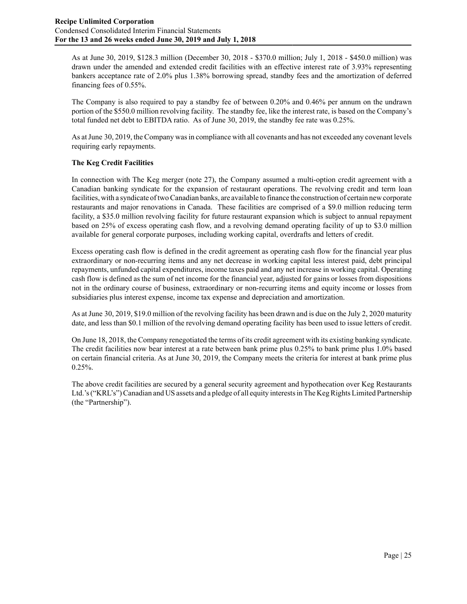As at June 30, 2019, \$128.3 million (December 30, 2018 - \$370.0 million; July 1, 2018 - \$450.0 million) was drawn under the amended and extended credit facilities with an effective interest rate of 3.93% representing bankers acceptance rate of 2.0% plus 1.38% borrowing spread, standby fees and the amortization of deferred financing fees of 0.55%.

The Company is also required to pay a standby fee of between 0.20% and 0.46% per annum on the undrawn portion of the \$550.0 million revolving facility. The standby fee, like the interest rate, is based on the Company's total funded net debt to EBITDA ratio. As of June 30, 2019, the standby fee rate was 0.25%.

As at June 30, 2019, the Company was in compliance with all covenants and has not exceeded any covenant levels requiring early repayments.

## **The Keg Credit Facilities**

In connection with The Keg merger (note 27), the Company assumed a multi-option credit agreement with a Canadian banking syndicate for the expansion of restaurant operations. The revolving credit and term loan facilities, with a syndicate of two Canadian banks, are available to finance the construction of certain new corporate restaurants and major renovations in Canada. These facilities are comprised of a \$9.0 million reducing term facility, a \$35.0 million revolving facility for future restaurant expansion which is subject to annual repayment based on 25% of excess operating cash flow, and a revolving demand operating facility of up to \$3.0 million available for general corporate purposes, including working capital, overdrafts and letters of credit.

Excess operating cash flow is defined in the credit agreement as operating cash flow for the financial year plus extraordinary or non-recurring items and any net decrease in working capital less interest paid, debt principal repayments, unfunded capital expenditures, income taxes paid and any net increase in working capital. Operating cash flow is defined as the sum of net income for the financial year, adjusted for gains or losses from dispositions not in the ordinary course of business, extraordinary or non-recurring items and equity income or losses from subsidiaries plus interest expense, income tax expense and depreciation and amortization.

As at June 30, 2019, \$19.0 million of the revolving facility has been drawn and is due on the July 2, 2020 maturity date, and less than \$0.1 million of the revolving demand operating facility has been used to issue letters of credit.

On June 18, 2018, the Company renegotiated the terms of its credit agreement with its existing banking syndicate. The credit facilities now bear interest at a rate between bank prime plus 0.25% to bank prime plus 1.0% based on certain financial criteria. As at June 30, 2019, the Company meets the criteria for interest at bank prime plus  $0.25%$ .

The above credit facilities are secured by a general security agreement and hypothecation over Keg Restaurants Ltd.'s ("KRL's") Canadian and US assets and a pledge of all equity interests in The Keg Rights Limited Partnership (the "Partnership").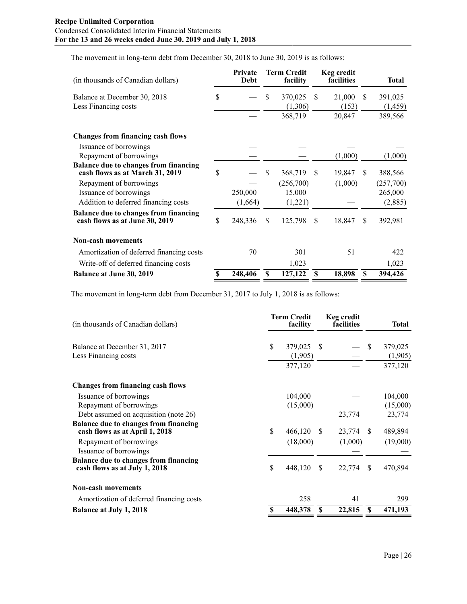The movement in long-term debt from December 30, 2018 to June 30, 2019 is as follows:

| (in thousands of Canadian dollars)                                              |    | Private<br><b>Debt</b> |               | <b>Term Credit</b><br>facility |               | Keg credit<br>facilities |     | <b>Total</b> |
|---------------------------------------------------------------------------------|----|------------------------|---------------|--------------------------------|---------------|--------------------------|-----|--------------|
| Balance at December 30, 2018                                                    | \$ |                        | \$            | 370,025                        | <sup>\$</sup> | 21,000                   | \$  | 391,025      |
| Less Financing costs                                                            |    |                        |               | (1,306)                        |               | (153)                    |     | (1, 459)     |
|                                                                                 |    |                        |               | 368,719                        |               | 20,847                   |     | 389,566      |
| <b>Changes from financing cash flows</b>                                        |    |                        |               |                                |               |                          |     |              |
| Issuance of borrowings                                                          |    |                        |               |                                |               |                          |     |              |
| Repayment of borrowings                                                         |    |                        |               |                                |               | (1,000)                  |     | (1,000)      |
| <b>Balance due to changes from financing</b><br>cash flows as at March 31, 2019 | \$ |                        | S             | 368,719                        | -S            | 19,847                   | \$. | 388,566      |
| Repayment of borrowings                                                         |    |                        |               | (256,700)                      |               | (1,000)                  |     | (257,700)    |
| Issuance of borrowings                                                          |    | 250,000                |               | 15,000                         |               |                          |     | 265,000      |
| Addition to deferred financing costs                                            |    | (1,664)                |               | (1,221)                        |               |                          |     | (2,885)      |
| <b>Balance due to changes from financing</b><br>cash flows as at June 30, 2019  | \$ | 248,336                | <sup>\$</sup> | 125,798                        | <sup>\$</sup> | 18,847                   | \$  | 392,981      |
| <b>Non-cash movements</b>                                                       |    |                        |               |                                |               |                          |     |              |
| Amortization of deferred financing costs                                        |    | 70                     |               | 301                            |               | 51                       |     | 422          |
| Write-off of deferred financing costs                                           |    |                        |               | 1,023                          |               |                          |     | 1,023        |
| <b>Balance at June 30, 2019</b>                                                 | S  | 248,406                | \$            | 127,122                        | <b>S</b>      | 18,898                   | S   | 394,426      |

The movement in long-term debt from December 31, 2017 to July 1, 2018 is as follows:

| (in thousands of Canadian dollars)                                             | <b>Term Credit</b><br>facility |                    |               | Keg credit<br>facilities |               | Total              |
|--------------------------------------------------------------------------------|--------------------------------|--------------------|---------------|--------------------------|---------------|--------------------|
| Balance at December 31, 2017                                                   | \$                             | 379,025            | <sup>\$</sup> |                          | \$            | 379,025            |
| Less Financing costs                                                           |                                | (1,905)<br>377,120 |               |                          |               | (1,905)<br>377,120 |
| <b>Changes from financing cash flows</b>                                       |                                |                    |               |                          |               |                    |
| Issuance of borrowings                                                         |                                | 104,000            |               |                          |               | 104,000            |
| Repayment of borrowings                                                        |                                | (15,000)           |               |                          |               | (15,000)           |
| Debt assumed on acquisition (note 26)                                          |                                |                    |               | 23,774                   |               | 23,774             |
| <b>Balance due to changes from financing</b><br>cash flows as at April 1, 2018 | \$                             | 466,120            | <b>S</b>      | 23,774                   | \$.           | 489,894            |
| Repayment of borrowings<br>Issuance of borrowings                              |                                | (18,000)           |               | (1,000)                  |               | (19,000)           |
| <b>Balance due to changes from financing</b><br>cash flows as at July 1, 2018  | \$                             | 448,120            | <sup>\$</sup> | 22,774                   | <sup>\$</sup> | 470,894            |
| <b>Non-cash movements</b>                                                      |                                |                    |               |                          |               |                    |
| Amortization of deferred financing costs                                       |                                | 258                |               | 41                       |               | 299                |
| <b>Balance at July 1, 2018</b>                                                 | S                              | 448,378            | S             | 22,815                   | S             | 471,193            |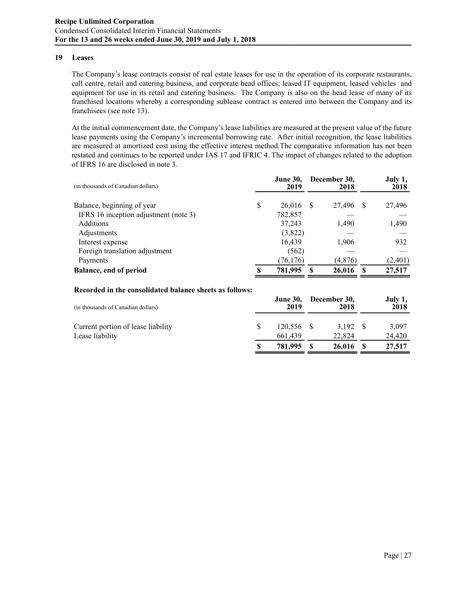#### **19 Leases**

The Company's lease contracts consist of real estate leases for use in the operation of its corporate restaurants, call centre, retail and catering business, and corporate head offices; leased IT equipment, leased vehicles and equipment for use in its retail and catering business. The Company is also on the head lease of many of its franchised locations whereby a corresponding sublease contract is entered into between the Company and its franchisees (see note 13).

At the initial commencement date, the Company's lease liabilities are measured at the present value of the future lease payments using the Company's incremental borrowing rate. After initial recognition, the lease liabilities are measured at amortized cost using the effective interest method.The comparative information has not been restated and continues to be reported under IAS 17 and IFRIC 4. The impact of changes related to the adoption of IFRS 16 are disclosed in note 3.

| (in thousands of Canadian dollars)    |   | <b>June 30.</b><br>2019 | December 30,<br>2018 |   | July 1,<br>2018 |
|---------------------------------------|---|-------------------------|----------------------|---|-----------------|
| Balance, beginning of year            | S | 26,016                  | 27,496               | S | 27,496          |
| IFRS 16 inception adjustment (note 3) |   | 782,857                 |                      |   |                 |
| Additions                             |   | 37,243                  | 1,490                |   | 1,490           |
| Adjustments                           |   | (3,822)                 |                      |   |                 |
| Interest expense                      |   | 16,439                  | 1,906                |   | 932             |
| Foreign translation adjustment        |   | (562)                   |                      |   |                 |
| Payments                              |   | (76, 176)               | (4, 876)             |   | (2, 401)        |
| Balance, end of period                | ¢ | 781,995                 | 26,016               |   | 27,517          |

#### **Recorded in the consolidated balance sheets as follows:**

| (in thousands of Canadian dollars) | <b>June 30,</b><br>2019 | December 30,<br>2018 | July 1,<br>2018 |
|------------------------------------|-------------------------|----------------------|-----------------|
| Current portion of lease liability | 120,556                 | 3.192                | 3,097           |
| Lease liability                    | 661.439                 | 22,824               | 24,420          |
|                                    | 781,995                 | 26,016               | 27,517          |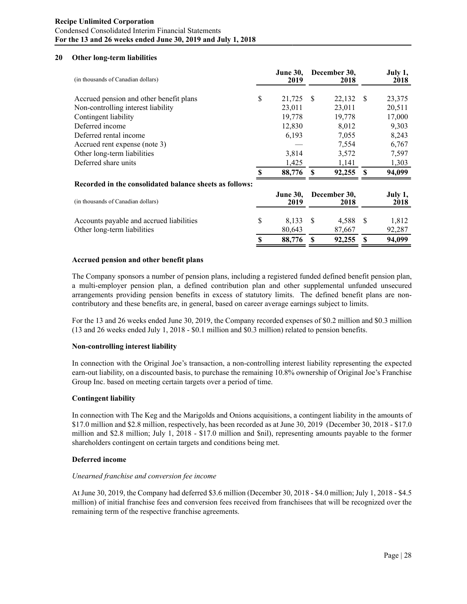## **Recipe Unlimited Corporation** Condensed Consolidated Interim Financial Statements **For the 13 and 26 weeks ended June 30, 2019 and July 1, 2018**

## **20 Other long-term liabilities**

| (in thousands of Canadian dollars)                      |    | <b>June 30,</b><br>2019 |                      | December 30,<br>2018 |              | July 1,<br>2018 |
|---------------------------------------------------------|----|-------------------------|----------------------|----------------------|--------------|-----------------|
| Accrued pension and other benefit plans                 | S  | 21,725                  | - S                  | 22,132 \$            |              | 23,375          |
| Non-controlling interest liability                      |    | 23,011                  |                      | 23,011               |              | 20,511          |
| Contingent liability                                    |    | 19,778                  |                      | 19,778               |              | 17,000          |
| Deferred income                                         |    | 12,830                  |                      | 8,012                |              | 9,303           |
| Deferred rental income                                  |    | 6,193                   |                      | 7,055                |              | 8,243           |
| Accrued rent expense (note 3)                           |    |                         |                      | 7,554                |              | 6,767           |
| Other long-term liabilities                             |    | 3,814                   |                      | 3,572                |              | 7,597           |
| Deferred share units                                    |    | 1,425                   |                      | 1,141                |              | 1,303           |
|                                                         |    | 88,776                  | -S                   | 92,255 \$            |              | 94,099          |
| Recorded in the consolidated balance sheets as follows: |    |                         |                      |                      |              |                 |
| (in thousands of Canadian dollars)                      |    | <b>June 30,</b><br>2019 | December 30,<br>2018 |                      |              | July 1,<br>2018 |
| Accounts payable and accrued liabilities                | \$ | 8,133                   | <b>S</b>             | 4,588                | S            | 1,812           |
| Other long-term liabilities                             |    | 80,643                  |                      | 87,667               |              | 92,287          |
|                                                         |    | 88,776                  |                      | 92,255               | $\mathbf{s}$ | 94,099          |

#### **Accrued pension and other benefit plans**

The Company sponsors a number of pension plans, including a registered funded defined benefit pension plan, a multi-employer pension plan, a defined contribution plan and other supplemental unfunded unsecured arrangements providing pension benefits in excess of statutory limits. The defined benefit plans are noncontributory and these benefits are, in general, based on career average earnings subject to limits.

For the 13 and 26 weeks ended June 30, 2019, the Company recorded expenses of \$0.2 million and \$0.3 million (13 and 26 weeks ended July 1, 2018 - \$0.1 million and \$0.3 million) related to pension benefits.

## **Non-controlling interest liability**

In connection with the Original Joe's transaction, a non-controlling interest liability representing the expected earn-out liability, on a discounted basis, to purchase the remaining 10.8% ownership of Original Joe's Franchise Group Inc. based on meeting certain targets over a period of time.

#### **Contingent liability**

In connection with The Keg and the Marigolds and Onions acquisitions, a contingent liability in the amounts of \$17.0 million and \$2.8 million, respectively, has been recorded as at June 30, 2019 (December 30, 2018 - \$17.0 million and \$2.8 million; July 1, 2018 - \$17.0 million and \$nil), representing amounts payable to the former shareholders contingent on certain targets and conditions being met.

## **Deferred income**

#### *Unearned franchise and conversion fee income*

At June 30, 2019, the Company had deferred \$3.6 million (December 30, 2018 - \$4.0 million; July 1, 2018 - \$4.5 million) of initial franchise fees and conversion fees received from franchisees that will be recognized over the remaining term of the respective franchise agreements.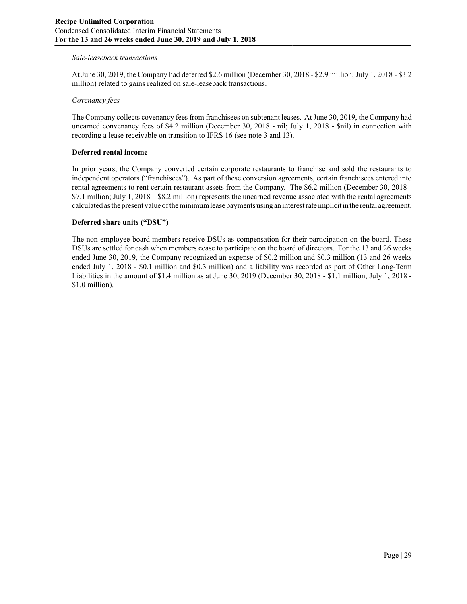## *Sale-leaseback transactions*

At June 30, 2019, the Company had deferred \$2.6 million (December 30, 2018 - \$2.9 million; July 1, 2018 - \$3.2 million) related to gains realized on sale-leaseback transactions.

#### *Covenancy fees*

The Company collects covenancy fees from franchisees on subtenant leases. At June 30, 2019, the Company had unearned convenancy fees of \$4.2 million (December 30, 2018 - nil; July 1, 2018 - \$nil) in connection with recording a lease receivable on transition to IFRS 16 (see note 3 and 13).

#### **Deferred rental income**

In prior years, the Company converted certain corporate restaurants to franchise and sold the restaurants to independent operators ("franchisees"). As part of these conversion agreements, certain franchisees entered into rental agreements to rent certain restaurant assets from the Company. The \$6.2 million (December 30, 2018 - \$7.1 million; July 1, 2018 – \$8.2 million) represents the unearned revenue associated with the rental agreements calculated as the present value of the minimum lease payments using an interest rate implicit in the rental agreement.

#### **Deferred share units ("DSU")**

The non-employee board members receive DSUs as compensation for their participation on the board. These DSUs are settled for cash when members cease to participate on the board of directors. For the 13 and 26 weeks ended June 30, 2019, the Company recognized an expense of \$0.2 million and \$0.3 million (13 and 26 weeks ended July 1, 2018 - \$0.1 million and \$0.3 million) and a liability was recorded as part of Other Long-Term Liabilities in the amount of \$1.4 million as at June 30, 2019 (December 30, 2018 - \$1.1 million; July 1, 2018 - \$1.0 million).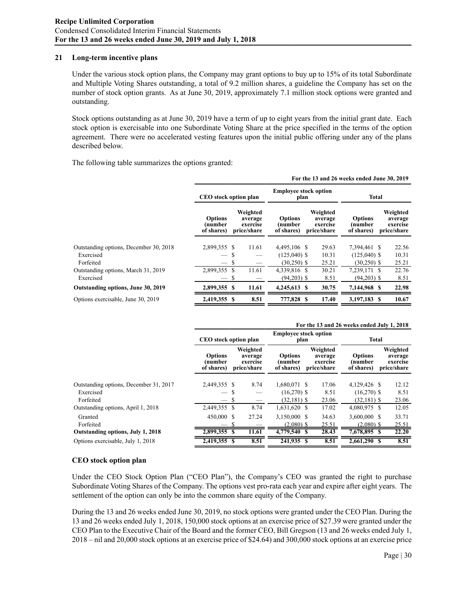## **21 Long-term incentive plans**

Under the various stock option plans, the Company may grant options to buy up to 15% of its total Subordinate and Multiple Voting Shares outstanding, a total of 9.2 million shares, a guideline the Company has set on the number of stock option grants. As at June 30, 2019, approximately 7.1 million stock options were granted and outstanding.

Stock options outstanding as at June 30, 2019 have a term of up to eight years from the initial grant date. Each stock option is exercisable into one Subordinate Voting Share at the price specified in the terms of the option agreement. There were no accelerated vesting features upon the initial public offering under any of the plans described below.

The following table summarizes the options granted:

|                                                                  | For the 13 and 26 weeks ended June 30, 2019                          |           |                                                |                                                  |  |                                                |                                                 |  |                                                |  |  |
|------------------------------------------------------------------|----------------------------------------------------------------------|-----------|------------------------------------------------|--------------------------------------------------|--|------------------------------------------------|-------------------------------------------------|--|------------------------------------------------|--|--|
|                                                                  | <b>CEO</b> stock option plan                                         |           |                                                | <b>Employee stock option</b><br>plan             |  |                                                | Total                                           |  |                                                |  |  |
|                                                                  | <b>Options</b><br>(number<br>of shares)                              |           | Weighted<br>average<br>exercise<br>price/share | <b>Options</b><br>(number<br>of shares)          |  | Weighted<br>average<br>exercise<br>price/share | <b>Options</b><br>(number<br>of shares)         |  | Weighted<br>average<br>exercise<br>price/share |  |  |
| Outstanding options, December 30, 2018<br>Exercised<br>Forfeited | 2,899,355 \$<br>$\overline{\phantom{m}}$<br>$\overline{\phantom{m}}$ | S<br>S    | 11.61                                          | 4,495,106 \$<br>$(125,040)$ \$<br>$(30, 250)$ \$ |  | 29.63<br>10.31<br>25.21                        | 7,394,461 \$<br>$(125,040)$ \$<br>$(30,250)$ \$ |  | 22.56<br>10.31<br>25.21                        |  |  |
| Outstanding options, March 31, 2019<br>Exercised                 | 2,899,355                                                            | \$.<br>-S | 11.61                                          | 4,339,816 \$<br>$(94,203)$ \$                    |  | 30.21<br>8.51                                  | 7,239,171 \$<br>$(94,203)$ \$                   |  | 22.76<br>8.51                                  |  |  |
| Outstanding options, June 30, 2019                               | 2,899,355                                                            | S         | 11.61                                          | 4,245,613 \$                                     |  | 30.75                                          | 7,144,968 \$                                    |  | 22.98                                          |  |  |
| Options exercisable, June 30, 2019                               | 2,419,355 \$                                                         |           | 8.51                                           | 777,828 \$                                       |  | 17.40                                          | 3,197,183 \$                                    |  | 10.67                                          |  |  |

|                                        | For the 13 and 26 weeks ended July 1, 2018 |                                                |                                         |                                                |                                         |                                                |  |  |  |  |  |
|----------------------------------------|--------------------------------------------|------------------------------------------------|-----------------------------------------|------------------------------------------------|-----------------------------------------|------------------------------------------------|--|--|--|--|--|
|                                        | CEO stock option plan                      |                                                | <b>Employee stock option</b><br>plan    |                                                | <b>Total</b>                            |                                                |  |  |  |  |  |
|                                        | <b>Options</b><br>number)<br>of shares)    | Weighted<br>average<br>exercise<br>price/share | <b>Options</b><br>(number<br>of shares) | Weighted<br>average<br>exercise<br>price/share | <b>Options</b><br>(number<br>of shares) | Weighted<br>average<br>exercise<br>price/share |  |  |  |  |  |
| Outstanding options, December 31, 2017 | 2,449,355 \$                               | 8.74                                           | 1,680,071 \$                            | 17.06                                          | 4,129,426 \$                            | 12.12                                          |  |  |  |  |  |
| Exercised<br>Forfeited                 |                                            | S                                              | $(16,270)$ \$<br>$(32,181)$ \$          | 8.51<br>23.06                                  | $(16,270)$ \$<br>$(32,181)$ \$          | 8.51<br>23.06                                  |  |  |  |  |  |
| Outstanding options, April 1, 2018     | 2,449,355                                  | 8.74<br>-S                                     | 1,631,620 \$                            | 17.02                                          | 4,080,975 \$                            | 12.05                                          |  |  |  |  |  |
| Granted<br>Forfeited                   | 450,000 \$                                 | 27.24                                          | 3,150,000 \$<br>$(2,080)$ \$            | 34.63<br>25.51                                 | 3,600,000 \$<br>$(2,080)$ \$            | 33.71<br>25.51                                 |  |  |  |  |  |
| Outstanding options, July 1, 2018      | 2,899,355                                  | 11.61<br>\$.                                   | 4,779,540 \$                            | 28.43                                          | $7,678,895$ \$                          | 22.20                                          |  |  |  |  |  |
| Options exercisable, July 1, 2018      | 2,419,355                                  | 8.51<br>S                                      | 241,935 \$                              | 8.51                                           | 2,661,290 \$                            | 8.51                                           |  |  |  |  |  |

## **CEO stock option plan**

Under the CEO Stock Option Plan ("CEO Plan"), the Company's CEO was granted the right to purchase Subordinate Voting Shares of the Company. The options vest pro-rata each year and expire after eight years. The settlement of the option can only be into the common share equity of the Company.

During the 13 and 26 weeks ended June 30, 2019, no stock options were granted under the CEO Plan. During the 13 and 26 weeks ended July 1, 2018, 150,000 stock options at an exercise price of \$27.39 were granted under the CEO Plan to the Executive Chair of the Board and the former CEO, Bill Gregson (13 and 26 weeks ended July 1, 2018 – nil and 20,000 stock options at an exercise price of \$24.64) and 300,000 stock options at an exercise price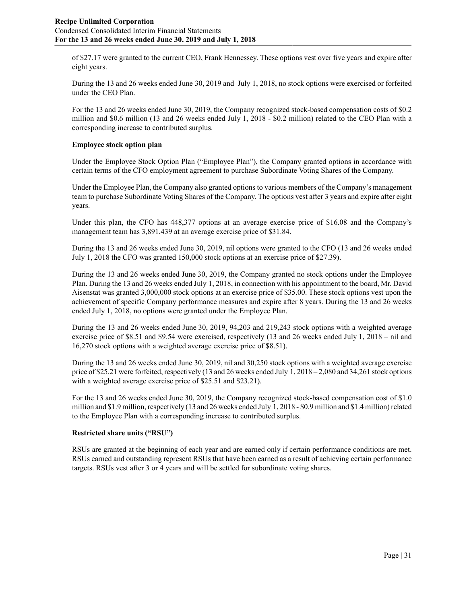of \$27.17 were granted to the current CEO, Frank Hennessey. These options vest over five years and expire after eight years.

During the 13 and 26 weeks ended June 30, 2019 and July 1, 2018, no stock options were exercised or forfeited under the CEO Plan.

For the 13 and 26 weeks ended June 30, 2019, the Company recognized stock-based compensation costs of \$0.2 million and \$0.6 million (13 and 26 weeks ended July 1, 2018 - \$0.2 million) related to the CEO Plan with a corresponding increase to contributed surplus.

## **Employee stock option plan**

Under the Employee Stock Option Plan ("Employee Plan"), the Company granted options in accordance with certain terms of the CFO employment agreement to purchase Subordinate Voting Shares of the Company.

Under the Employee Plan, the Company also granted options to various members of the Company's management team to purchase Subordinate Voting Shares of the Company. The options vest after 3 years and expire after eight years.

Under this plan, the CFO has 448,377 options at an average exercise price of \$16.08 and the Company's management team has 3,891,439 at an average exercise price of \$31.84.

During the 13 and 26 weeks ended June 30, 2019, nil options were granted to the CFO (13 and 26 weeks ended July 1, 2018 the CFO was granted 150,000 stock options at an exercise price of \$27.39).

During the 13 and 26 weeks ended June 30, 2019, the Company granted no stock options under the Employee Plan. During the 13 and 26 weeks ended July 1, 2018, in connection with his appointment to the board, Mr. David Aisenstat was granted 3,000,000 stock options at an exercise price of \$35.00. These stock options vest upon the achievement of specific Company performance measures and expire after 8 years. During the 13 and 26 weeks ended July 1, 2018, no options were granted under the Employee Plan.

During the 13 and 26 weeks ended June 30, 2019, 94,203 and 219,243 stock options with a weighted average exercise price of \$8.51 and \$9.54 were exercised, respectively (13 and 26 weeks ended July 1, 2018 – nil and 16,270 stock options with a weighted average exercise price of \$8.51).

During the 13 and 26 weeks ended June 30, 2019, nil and 30,250 stock options with a weighted average exercise price of \$25.21 were forfeited, respectively (13 and 26 weeks ended July 1, 2018 – 2,080 and 34,261 stock options with a weighted average exercise price of \$25.51 and \$23.21).

For the 13 and 26 weeks ended June 30, 2019, the Company recognized stock-based compensation cost of \$1.0 million and \$1.9 million, respectively (13 and 26 weeks ended July 1, 2018 - \$0.9 million and \$1.4 million) related to the Employee Plan with a corresponding increase to contributed surplus.

#### **Restricted share units ("RSU")**

RSUs are granted at the beginning of each year and are earned only if certain performance conditions are met. RSUs earned and outstanding represent RSUs that have been earned as a result of achieving certain performance targets. RSUs vest after 3 or 4 years and will be settled for subordinate voting shares.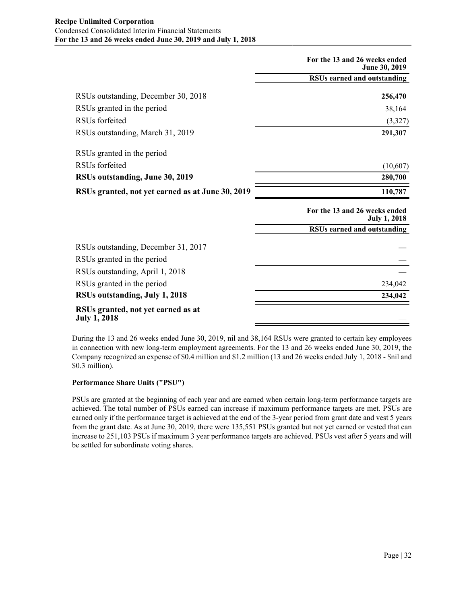|                                                           | For the 13 and 26 weeks ended<br>June 30, 2019       |
|-----------------------------------------------------------|------------------------------------------------------|
|                                                           | <b>RSUs earned and outstanding</b>                   |
| RSUs outstanding, December 30, 2018                       | 256,470                                              |
| RSUs granted in the period                                | 38,164                                               |
| RSU <sub>s</sub> forfeited                                | (3,327)                                              |
| RSUs outstanding, March 31, 2019                          | 291,307                                              |
| RSUs granted in the period                                |                                                      |
| RSU <sub>s</sub> forfeited                                | (10,607)                                             |
| RSUs outstanding, June 30, 2019                           | 280,700                                              |
| RSUs granted, not yet earned as at June 30, 2019          | 110,787                                              |
|                                                           | For the 13 and 26 weeks ended<br><b>July 1, 2018</b> |
|                                                           | RSUs earned and outstanding                          |
| RSUs outstanding, December 31, 2017                       |                                                      |
| RSUs granted in the period                                |                                                      |
| RSUs outstanding, April 1, 2018                           |                                                      |
| RSUs granted in the period                                | 234,042                                              |
| RSUs outstanding, July 1, 2018                            | 234,042                                              |
| RSUs granted, not yet earned as at<br><b>July 1, 2018</b> |                                                      |

During the 13 and 26 weeks ended June 30, 2019, nil and 38,164 RSUs were granted to certain key employees in connection with new long-term employment agreements. For the 13 and 26 weeks ended June 30, 2019, the Company recognized an expense of \$0.4 million and \$1.2 million (13 and 26 weeks ended July 1, 2018 - \$nil and \$0.3 million).

## **Performance Share Units ("PSU")**

PSUs are granted at the beginning of each year and are earned when certain long-term performance targets are achieved. The total number of PSUs earned can increase if maximum performance targets are met. PSUs are earned only if the performance target is achieved at the end of the 3-year period from grant date and vest 5 years from the grant date. As at June 30, 2019, there were 135,551 PSUs granted but not yet earned or vested that can increase to 251,103 PSUs if maximum 3 year performance targets are achieved. PSUs vest after 5 years and will be settled for subordinate voting shares.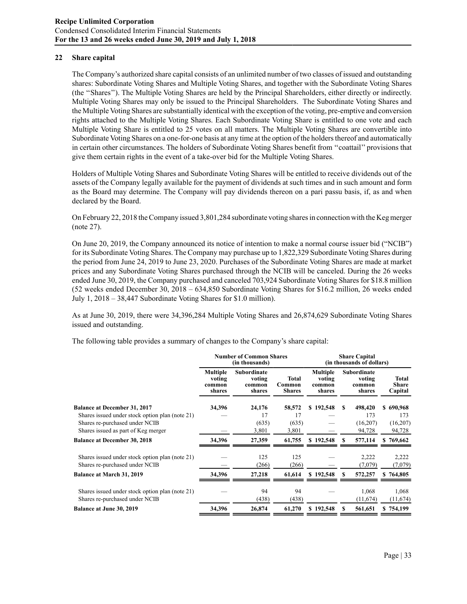## **22 Share capital**

The Company's authorized share capital consists of an unlimited number of two classes of issued and outstanding shares: Subordinate Voting Shares and Multiple Voting Shares, and together with the Subordinate Voting Shares (the ''Shares''). The Multiple Voting Shares are held by the Principal Shareholders, either directly or indirectly. Multiple Voting Shares may only be issued to the Principal Shareholders. The Subordinate Voting Shares and the Multiple Voting Shares are substantially identical with the exception of the voting, pre-emptive and conversion rights attached to the Multiple Voting Shares. Each Subordinate Voting Share is entitled to one vote and each Multiple Voting Share is entitled to 25 votes on all matters. The Multiple Voting Shares are convertible into Subordinate Voting Shares on a one-for-one basis at any time at the option of the holders thereof and automatically in certain other circumstances. The holders of Subordinate Voting Shares benefit from ''coattail'' provisions that give them certain rights in the event of a take-over bid for the Multiple Voting Shares.

Holders of Multiple Voting Shares and Subordinate Voting Shares will be entitled to receive dividends out of the assets of the Company legally available for the payment of dividends at such times and in such amount and form as the Board may determine. The Company will pay dividends thereon on a pari passu basis, if, as and when declared by the Board.

On February 22, 2018 the Company issued 3,801,284 subordinate voting shares in connection with the Keg merger (note 27).

On June 20, 2019, the Company announced its notice of intention to make a normal course issuer bid ("NCIB") for its Subordinate Voting Shares. The Company may purchase up to 1,822,329 Subordinate Voting Shares during the period from June 24, 2019 to June 23, 2020. Purchases of the Subordinate Voting Shares are made at market prices and any Subordinate Voting Shares purchased through the NCIB will be canceled. During the 26 weeks ended June 30, 2019, the Company purchased and canceled 703,924 Subordinate Voting Shares for \$18.8 million (52 weeks ended December 30, 2018 – 634,850 Subordinate Voting Shares for \$16.2 million, 26 weeks ended July 1, 2018 – 38,447 Subordinate Voting Shares for \$1.0 million).

As at June 30, 2019, there were 34,396,284 Multiple Voting Shares and 26,874,629 Subordinate Voting Shares issued and outstanding.

The following table provides a summary of changes to the Company's share capital:

|                                                 | <b>Number of Common Shares</b>                |                                           | <b>Share Capital</b><br>(in thousands of dollars) |                                               |     |                                                  |                                         |  |
|-------------------------------------------------|-----------------------------------------------|-------------------------------------------|---------------------------------------------------|-----------------------------------------------|-----|--------------------------------------------------|-----------------------------------------|--|
|                                                 | <b>Multiple</b><br>voting<br>common<br>shares | Subordinate<br>voting<br>common<br>shares | Total<br>Common<br><b>Shares</b>                  | <b>Multiple</b><br>voting<br>common<br>shares |     | <b>Subordinate</b><br>voting<br>common<br>shares | <b>Total</b><br><b>Share</b><br>Capital |  |
| <b>Balance at December 31, 2017</b>             | 34,396                                        | 24,176                                    | 58,572                                            | \$192,548                                     | \$. | 498,420                                          | \$690,968                               |  |
| Shares issued under stock option plan (note 21) |                                               | 17                                        | 17                                                |                                               |     | 173                                              | 173                                     |  |
| Shares re-purchased under NCIB                  |                                               | (635)                                     | (635)                                             |                                               |     | (16,207)                                         | (16,207)                                |  |
| Shares issued as part of Keg merger             |                                               | 3,801                                     | 3,801                                             |                                               |     | 94,728                                           | 94,728                                  |  |
| <b>Balance at December 30, 2018</b>             | 34,396                                        | 27,359                                    | 61,755                                            | \$192,548                                     | S   | 577,114                                          | \$769,662                               |  |
| Shares issued under stock option plan (note 21) |                                               | 125                                       | 125                                               |                                               |     | 2,222                                            | 2,222                                   |  |
| Shares re-purchased under NCIB                  |                                               | (266)                                     | (266)                                             |                                               |     | (7,079)                                          | (7,079)                                 |  |
| Balance at March 31, 2019                       | 34,396                                        | 27,218                                    | 61,614                                            | \$192,548                                     | \$. | 572,257                                          | \$764,805                               |  |
| Shares issued under stock option plan (note 21) |                                               | 94                                        | 94                                                |                                               |     | 1,068                                            | 1,068                                   |  |
| Shares re-purchased under NCIB                  |                                               | (438)                                     | (438)                                             |                                               |     | (11,674)                                         | (11,674)                                |  |
| <b>Balance at June 30, 2019</b>                 | 34,396                                        | 26,874                                    | 61,270                                            | \$192,548                                     | S   | 561,651                                          | \$754,199                               |  |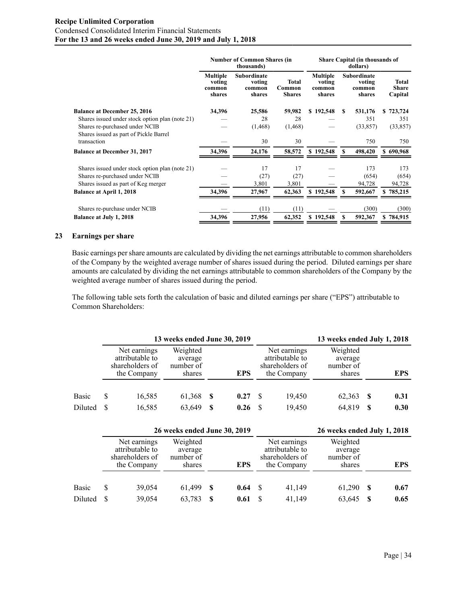## **Recipe Unlimited Corporation** Condensed Consolidated Interim Financial Statements **For the 13 and 26 weeks ended June 30, 2019 and July 1, 2018**

|                                                 | <b>Number of Common Shares (in</b>            |                                                  | Share Capital (in thousands of<br>dollars) |                                               |    |                                           |  |                                  |
|-------------------------------------------------|-----------------------------------------------|--------------------------------------------------|--------------------------------------------|-----------------------------------------------|----|-------------------------------------------|--|----------------------------------|
|                                                 | <b>Multiple</b><br>voting<br>common<br>shares | <b>Subordinate</b><br>voting<br>common<br>shares | Total<br>Common<br><b>Shares</b>           | <b>Multiple</b><br>voting<br>common<br>shares |    | Subordinate<br>voting<br>common<br>shares |  | <b>Total</b><br>Share<br>Capital |
| <b>Balance at December 25, 2016</b>             | 34,396                                        | 25,586                                           | 59,982                                     | \$192,548                                     | S. | 531,176                                   |  | \$723,724                        |
| Shares issued under stock option plan (note 21) |                                               | 28                                               | 28                                         |                                               |    | 351                                       |  | 351                              |
| Shares re-purchased under NCIB                  |                                               | (1, 468)                                         | (1, 468)                                   |                                               |    | (33, 857)                                 |  | (33, 857)                        |
| Shares issued as part of Pickle Barrel          |                                               |                                                  |                                            |                                               |    |                                           |  |                                  |
| transaction                                     |                                               | 30                                               | 30                                         |                                               |    | 750                                       |  | 750                              |
| <b>Balance at December 31, 2017</b>             | 34,396                                        | 24,176                                           | 58,572                                     | \$192,548                                     | S  | 498,420                                   |  | \$690,968                        |
| Shares issued under stock option plan (note 21) |                                               | 17                                               | 17                                         |                                               |    | 173                                       |  | 173                              |
| Shares re-purchased under NCIB                  |                                               | (27)                                             | (27)                                       |                                               |    | (654)                                     |  | (654)                            |
| Shares issued as part of Keg merger             |                                               | 3,801                                            | 3,801                                      |                                               |    | 94,728                                    |  | 94,728                           |
| <b>Balance at April 1, 2018</b>                 | 34,396                                        | 27,967                                           | 62,363                                     | \$192,548                                     | S  | 592,667                                   |  | \$785,215                        |
| Shares re-purchase under NCIB                   |                                               | (11)                                             | (11)                                       |                                               |    | (300)                                     |  | (300)                            |
| <b>Balance at July 1, 2018</b>                  | 34,396                                        | 27,956                                           | 62,352                                     | \$192,548                                     | S  | 592,367                                   |  | \$784,915                        |

#### **23 Earnings per share**

Basic earnings per share amounts are calculated by dividing the net earnings attributable to common shareholders of the Company by the weighted average number of shares issued during the period. Diluted earnings per share amounts are calculated by dividing the net earnings attributable to common shareholders of the Company by the weighted average number of shares issued during the period.

The following table sets forth the calculation of basic and diluted earnings per share ("EPS") attributable to Common Shareholders:

|              | 13 weeks ended June 30, 2019 |                                                                   |                                            |    |            |          |                                                                   | 13 weeks ended July 1, 2018                |   |            |  |  |
|--------------|------------------------------|-------------------------------------------------------------------|--------------------------------------------|----|------------|----------|-------------------------------------------------------------------|--------------------------------------------|---|------------|--|--|
|              |                              | Net earnings<br>attributable to<br>shareholders of<br>the Company | Weighted<br>average<br>number of<br>shares |    | <b>EPS</b> |          | Net earnings<br>attributable to<br>shareholders of<br>the Company | Weighted<br>average<br>number of<br>shares |   | <b>EPS</b> |  |  |
| <b>Basic</b> | S                            | 16,585                                                            | 61,368                                     | -S | 0.27       | -S       | 19.450                                                            | 62,363                                     | S | 0.31       |  |  |
| Diluted      | S                            | 16,585                                                            | 63,649                                     | S  | 0.26       | <b>S</b> | 19.450                                                            | 64,819                                     | S | 0.30       |  |  |

|              | 26 weeks ended June 30, 2019 |                                                                   |                                            |    |            |      |                                                                   | 26 weeks ended July 1, 2018                |    |            |  |
|--------------|------------------------------|-------------------------------------------------------------------|--------------------------------------------|----|------------|------|-------------------------------------------------------------------|--------------------------------------------|----|------------|--|
|              |                              | Net earnings<br>attributable to<br>shareholders of<br>the Company | Weighted<br>average<br>number of<br>shares |    | <b>EPS</b> |      | Net earnings<br>attributable to<br>shareholders of<br>the Company | Weighted<br>average<br>number of<br>shares |    | <b>EPS</b> |  |
| <b>Basic</b> |                              | 39,054                                                            | 61,499                                     | -S | 0.64       | - \$ | 41,149                                                            | 61,290                                     | -S | 0.67       |  |
| Diluted      |                              | 39,054                                                            | 63,783                                     | S  | 0.61       |      | 41,149                                                            | 63,645                                     | S  | 0.65       |  |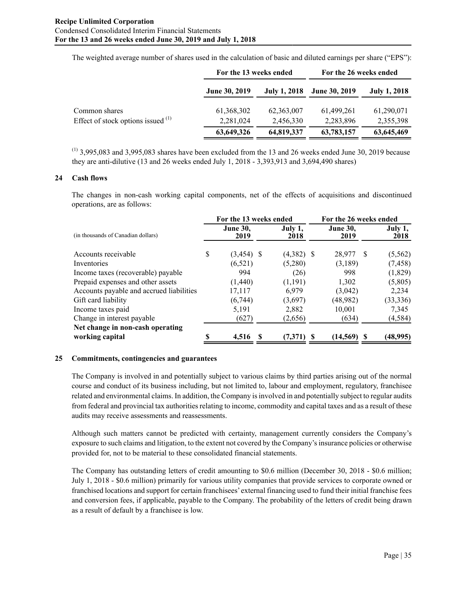The weighted average number of shares used in the calculation of basic and diluted earnings per share ("EPS"):

|                                      | For the 13 weeks ended |                     | For the 26 weeks ended |                     |  |  |
|--------------------------------------|------------------------|---------------------|------------------------|---------------------|--|--|
|                                      | <b>June 30, 2019</b>   | <b>July 1, 2018</b> | <b>June 30, 2019</b>   | <b>July 1, 2018</b> |  |  |
| Common shares                        | 61,368,302             | 62,363,007          | 61,499,261             | 61,290,071          |  |  |
| Effect of stock options issued $(1)$ | 2,281,024              | 2,456,330           | 2,283,896              | 2,355,398           |  |  |
|                                      | 63,649,326             | 64,819,337          | 63,783,157             | 63,645,469          |  |  |

 $(1)$  3,995,083 and 3,995,083 shares have been excluded from the 13 and 26 weeks ended June 30, 2019 because they are anti-dilutive (13 and 26 weeks ended July 1, 2018 - 3,393,913 and 3,694,490 shares)

#### **24 Cash flows**

The changes in non-cash working capital components, net of the effects of acquisitions and discontinued operations, are as follows:

|                                          |   | For the 13 weeks ended  |  |                 | For the 26 weeks ended  |              |                 |
|------------------------------------------|---|-------------------------|--|-----------------|-------------------------|--------------|-----------------|
| (in thousands of Canadian dollars)       |   | <b>June 30,</b><br>2019 |  | July 1,<br>2018 | <b>June 30,</b><br>2019 |              | July 1,<br>2018 |
| Accounts receivable                      | S | $(3,454)$ \$            |  | $(4,382)$ \$    | 28,977                  | <sup>S</sup> | (5, 562)        |
| Inventories                              |   | (6, 521)                |  | (5,280)         | (3,189)                 |              | (7, 458)        |
| Income taxes (recoverable) payable       |   | 994                     |  | (26)            | 998                     |              | (1,829)         |
| Prepaid expenses and other assets        |   | (1,440)                 |  | (1, 191)        | 1,302                   |              | (5,805)         |
| Accounts payable and accrued liabilities |   | 17,117                  |  | 6.979           | (3,042)                 |              | 2,234           |
| Gift card liability                      |   | (6,744)                 |  | (3,697)         | (48,982)                |              | (33, 336)       |
| Income taxes paid                        |   | 5,191                   |  | 2,882           | 10,001                  |              | 7.345           |
| Change in interest payable               |   | (627)                   |  | (2,656)         | (634)                   |              | (4, 584)        |
| Net change in non-cash operating         |   |                         |  |                 |                         |              |                 |
| working capital                          |   | 4,516                   |  | (7,371)         | (14, 569)               |              | (48,995)        |

#### **25 Commitments, contingencies and guarantees**

The Company is involved in and potentially subject to various claims by third parties arising out of the normal course and conduct of its business including, but not limited to, labour and employment, regulatory, franchisee related and environmental claims. In addition, the Company is involved in and potentially subject to regular audits from federal and provincial tax authorities relating to income, commodity and capital taxes and as a result of these audits may receive assessments and reassessments.

Although such matters cannot be predicted with certainty, management currently considers the Company's exposure to such claims and litigation, to the extent not covered by the Company's insurance policies or otherwise provided for, not to be material to these consolidated financial statements.

The Company has outstanding letters of credit amounting to \$0.6 million (December 30, 2018 - \$0.6 million; July 1, 2018 - \$0.6 million) primarily for various utility companies that provide services to corporate owned or franchised locations and support for certain franchisees' external financing used to fund their initial franchise fees and conversion fees, if applicable, payable to the Company. The probability of the letters of credit being drawn as a result of default by a franchisee is low.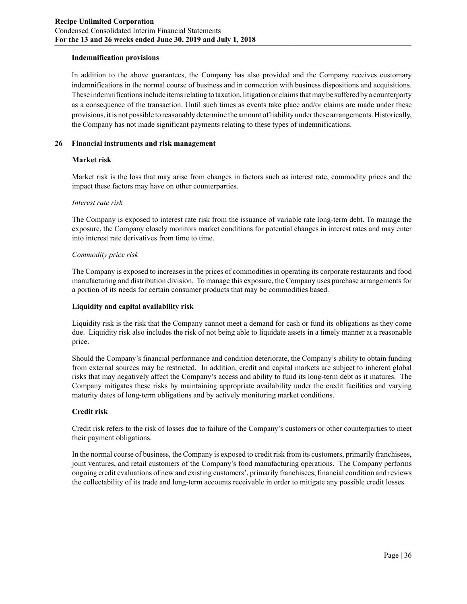#### **Indemnification provisions**

In addition to the above guarantees, the Company has also provided and the Company receives customary indemnifications in the normal course of business and in connection with business dispositions and acquisitions. These indemnifications include items relating to taxation, litigation or claims that may be suffered by a counterparty as a consequence of the transaction. Until such times as events take place and/or claims are made under these provisions, it is not possible to reasonably determine the amount of liability under these arrangements. Historically, the Company has not made significant payments relating to these types of indemnifications.

#### **26 Financial instruments and risk management**

#### **Market risk**

Market risk is the loss that may arise from changes in factors such as interest rate, commodity prices and the impact these factors may have on other counterparties.

#### *Interest rate risk*

The Company is exposed to interest rate risk from the issuance of variable rate long-term debt. To manage the exposure, the Company closely monitors market conditions for potential changes in interest rates and may enter into interest rate derivatives from time to time.

#### *Commodity price risk*

The Company is exposed to increases in the prices of commodities in operating its corporate restaurants and food manufacturing and distribution division. To manage this exposure, the Company uses purchase arrangements for a portion of its needs for certain consumer products that may be commodities based.

#### **Liquidity and capital availability risk**

Liquidity risk is the risk that the Company cannot meet a demand for cash or fund its obligations as they come due. Liquidity risk also includes the risk of not being able to liquidate assets in a timely manner at a reasonable price.

Should the Company's financial performance and condition deteriorate, the Company's ability to obtain funding from external sources may be restricted. In addition, credit and capital markets are subject to inherent global risks that may negatively affect the Company's access and ability to fund its long-term debt as it matures. The Company mitigates these risks by maintaining appropriate availability under the credit facilities and varying maturity dates of long-term obligations and by actively monitoring market conditions.

#### **Credit risk**

Credit risk refers to the risk of losses due to failure of the Company's customers or other counterparties to meet their payment obligations.

In the normal course of business, the Company is exposed to credit risk from its customers, primarily franchisees, joint ventures, and retail customers of the Company's food manufacturing operations. The Company performs ongoing credit evaluations of new and existing customers', primarily franchisees, financial condition and reviews the collectability of its trade and long-term accounts receivable in order to mitigate any possible credit losses.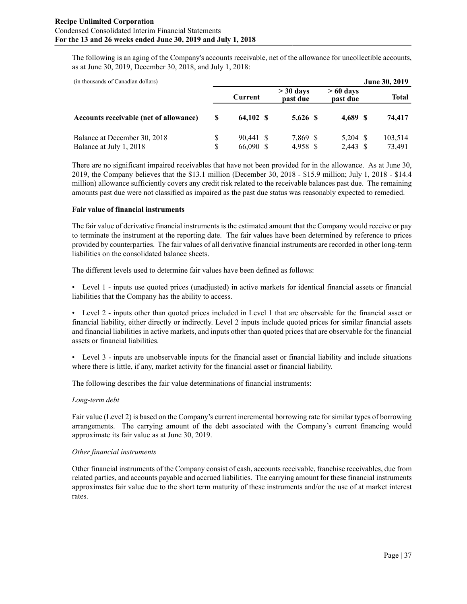The following is an aging of the Company's accounts receivable, net of the allowance for uncollectible accounts, as at June 30, 2019, December 30, 2018, and July 1, 2018:

| (in thousands of Canadian dollars)                      |                    |                        |  |                         |  |                        |  | <b>June 30, 2019</b> |  |
|---------------------------------------------------------|--------------------|------------------------|--|-------------------------|--|------------------------|--|----------------------|--|
|                                                         |                    | Current                |  | $>$ 30 days<br>past due |  | $>60$ days<br>past due |  | Total                |  |
| Accounts receivable (net of allowance)                  | S                  | 64.102 \$              |  | $5.626$ \$              |  | 4,689 S                |  | 74,417               |  |
| Balance at December 30, 2018<br>Balance at July 1, 2018 | <sup>S</sup><br>S. | 90.441 \$<br>66,090 \$ |  | 7,869 \$<br>4,958 \$    |  | 5,204 \$<br>2,443 \$   |  | 103,514<br>73,491    |  |

There are no significant impaired receivables that have not been provided for in the allowance. As at June 30, 2019, the Company believes that the \$13.1 million (December 30, 2018 - \$15.9 million; July 1, 2018 - \$14.4 million) allowance sufficiently covers any credit risk related to the receivable balances past due. The remaining amounts past due were not classified as impaired as the past due status was reasonably expected to remedied.

## **Fair value of financial instruments**

The fair value of derivative financial instruments is the estimated amount that the Company would receive or pay to terminate the instrument at the reporting date. The fair values have been determined by reference to prices provided by counterparties. The fair values of all derivative financial instruments are recorded in other long-term liabilities on the consolidated balance sheets.

The different levels used to determine fair values have been defined as follows:

• Level 1 - inputs use quoted prices (unadjusted) in active markets for identical financial assets or financial liabilities that the Company has the ability to access.

• Level 2 - inputs other than quoted prices included in Level 1 that are observable for the financial asset or financial liability, either directly or indirectly. Level 2 inputs include quoted prices for similar financial assets and financial liabilities in active markets, and inputs other than quoted prices that are observable for the financial assets or financial liabilities.

• Level 3 - inputs are unobservable inputs for the financial asset or financial liability and include situations where there is little, if any, market activity for the financial asset or financial liability.

The following describes the fair value determinations of financial instruments:

## *Long-term debt*

Fair value (Level 2) is based on the Company's current incremental borrowing rate for similar types of borrowing arrangements. The carrying amount of the debt associated with the Company's current financing would approximate its fair value as at June 30, 2019.

#### *Other financial instruments*

Other financial instruments of the Company consist of cash, accounts receivable, franchise receivables, due from related parties, and accounts payable and accrued liabilities. The carrying amount for these financial instruments approximates fair value due to the short term maturity of these instruments and/or the use of at market interest rates.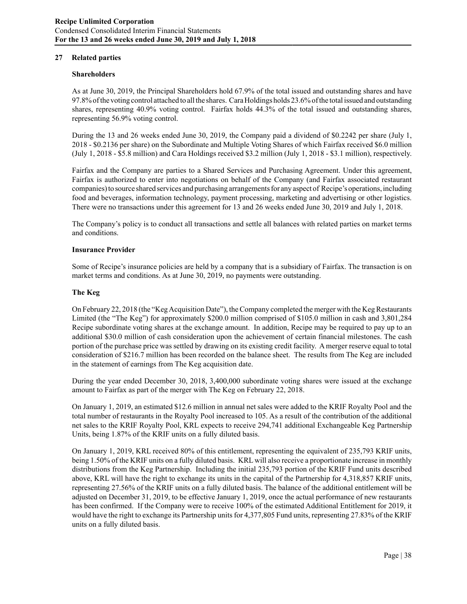## **27 Related parties**

#### **Shareholders**

As at June 30, 2019, the Principal Shareholders hold 67.9% of the total issued and outstanding shares and have 97.8% of the voting control attached to all the shares. Cara Holdings holds 23.6% of the total issued and outstanding shares, representing 40.9% voting control. Fairfax holds 44.3% of the total issued and outstanding shares, representing 56.9% voting control.

During the 13 and 26 weeks ended June 30, 2019, the Company paid a dividend of \$0.2242 per share (July 1, 2018 - \$0.2136 per share) on the Subordinate and Multiple Voting Shares of which Fairfax received \$6.0 million (July 1, 2018 - \$5.8 million) and Cara Holdings received \$3.2 million (July 1, 2018 - \$3.1 million), respectively.

Fairfax and the Company are parties to a Shared Services and Purchasing Agreement. Under this agreement, Fairfax is authorized to enter into negotiations on behalf of the Company (and Fairfax associated restaurant companies) to source shared services and purchasing arrangements for any aspect of Recipe's operations, including food and beverages, information technology, payment processing, marketing and advertising or other logistics. There were no transactions under this agreement for 13 and 26 weeks ended June 30, 2019 and July 1, 2018.

The Company's policy is to conduct all transactions and settle all balances with related parties on market terms and conditions.

#### **Insurance Provider**

Some of Recipe's insurance policies are held by a company that is a subsidiary of Fairfax. The transaction is on market terms and conditions. As at June 30, 2019, no payments were outstanding.

#### **The Keg**

On February 22, 2018 (the "Keg Acquisition Date"), the Company completed the merger with the Keg Restaurants Limited (the "The Keg") for approximately \$200.0 million comprised of \$105.0 million in cash and 3,801,284 Recipe subordinate voting shares at the exchange amount. In addition, Recipe may be required to pay up to an additional \$30.0 million of cash consideration upon the achievement of certain financial milestones. The cash portion of the purchase price was settled by drawing on its existing credit facility. Amerger reserve equal to total consideration of \$216.7 million has been recorded on the balance sheet. The results from The Keg are included in the statement of earnings from The Keg acquisition date.

During the year ended December 30, 2018, 3,400,000 subordinate voting shares were issued at the exchange amount to Fairfax as part of the merger with The Keg on February 22, 2018.

On January 1, 2019, an estimated \$12.6 million in annual net sales were added to the KRIF Royalty Pool and the total number of restaurants in the Royalty Pool increased to 105. As a result of the contribution of the additional net sales to the KRIF Royalty Pool, KRL expects to receive 294,741 additional Exchangeable Keg Partnership Units, being 1.87% of the KRIF units on a fully diluted basis.

On January 1, 2019, KRL received 80% of this entitlement, representing the equivalent of 235,793 KRIF units, being 1.50% of the KRIF units on a fully diluted basis. KRL will also receive a proportionate increase in monthly distributions from the Keg Partnership. Including the initial 235,793 portion of the KRIF Fund units described above, KRL will have the right to exchange its units in the capital of the Partnership for 4,318,857 KRIF units, representing 27.56% of the KRIF units on a fully diluted basis. The balance of the additional entitlement will be adjusted on December 31, 2019, to be effective January 1, 2019, once the actual performance of new restaurants has been confirmed. If the Company were to receive 100% of the estimated Additional Entitlement for 2019, it would have the right to exchange its Partnership units for 4,377,805 Fund units, representing 27.83% of the KRIF units on a fully diluted basis.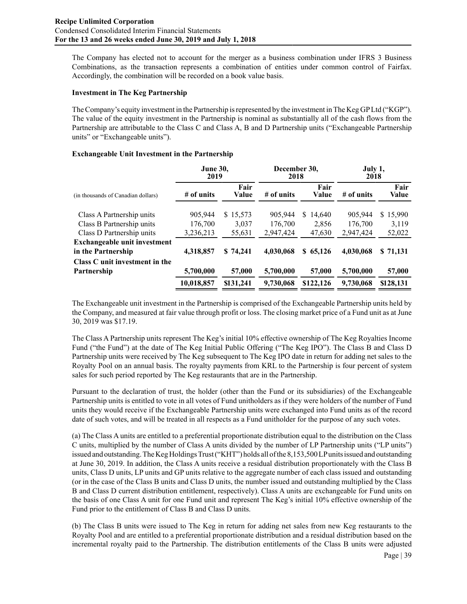The Company has elected not to account for the merger as a business combination under IFRS 3 Business Combinations, as the transaction represents a combination of entities under common control of Fairfax. Accordingly, the combination will be recorded on a book value basis.

#### **Investment in The Keg Partnership**

The Company's equity investment in the Partnership is represented by the investment in The Keg GPLtd ("KGP"). The value of the equity investment in the Partnership is nominal as substantially all of the cash flows from the Partnership are attributable to the Class C and Class A, B and D Partnership units ("Exchangeable Partnership units" or "Exchangeable units").

## **Exchangeable Unit Investment in the Partnership**

|                                     | <b>June 30,</b><br>2019 |               | December 30,<br>2018 |               | July 1,<br>2018 |               |  |
|-------------------------------------|-------------------------|---------------|----------------------|---------------|-----------------|---------------|--|
| (in thousands of Canadian dollars)  | # of units              | Fair<br>Value | $#$ of units         | Fair<br>Value | # of units      | Fair<br>Value |  |
| Class A Partnership units           | 905,944                 | \$15,573      | 905,944              | 14,640<br>S.  | 905,944         | \$15,990      |  |
| Class B Partnership units           | 176,700                 | 3,037         | 176,700              | 2,856         | 176,700         | 3,119         |  |
| Class D Partnership units           | 3,236,213               | 55,631        | 2,947,424            | 47,630        | 2,947,424       | 52,022        |  |
| <b>Exchangeable unit investment</b> |                         |               |                      |               |                 |               |  |
| in the Partnership                  | 4.318.857               | \$74,241      | 4,030,068            | \$65,126      | 4,030,068       | \$71,131      |  |
| Class C unit investment in the      |                         |               |                      |               |                 |               |  |
| Partnership                         | 5,700,000               | 57,000        | 5,700,000            | 57,000        | 5,700,000       | 57,000        |  |
| 10,018,857                          |                         | \$131.241     | 9,730,068            | \$122,126     | 9,730,068       | \$128,131     |  |

The Exchangeable unit investment in the Partnership is comprised of the Exchangeable Partnership units held by the Company, and measured at fair value through profit or loss. The closing market price of a Fund unit as at June 30, 2019 was \$17.19.

The Class A Partnership units represent The Keg's initial 10% effective ownership of The Keg Royalties Income Fund ("the Fund") at the date of The Keg Initial Public Offering ("The Keg IPO"). The Class B and Class D Partnership units were received by The Keg subsequent to The Keg IPO date in return for adding net sales to the Royalty Pool on an annual basis. The royalty payments from KRL to the Partnership is four percent of system sales for such period reported by The Keg restaurants that are in the Partnership.

Pursuant to the declaration of trust, the holder (other than the Fund or its subsidiaries) of the Exchangeable Partnership units is entitled to vote in all votes of Fund unitholders as if they were holders of the number of Fund units they would receive if the Exchangeable Partnership units were exchanged into Fund units as of the record date of such votes, and will be treated in all respects as a Fund unitholder for the purpose of any such votes.

(a) The Class A units are entitled to a preferential proportionate distribution equal to the distribution on the Class C units, multiplied by the number of Class A units divided by the number of LP Partnership units ("LP units") issued and outstanding. The Keg Holdings Trust ("KHT") holds all of the 8,153,500 LPunits issued and outstanding at June 30, 2019. In addition, the Class A units receive a residual distribution proportionately with the Class B units, Class D units, LPunits and GPunits relative to the aggregate number of each class issued and outstanding (or in the case of the Class B units and Class D units, the number issued and outstanding multiplied by the Class B and Class D current distribution entitlement, respectively). Class A units are exchangeable for Fund units on the basis of one Class A unit for one Fund unit and represent The Keg's initial 10% effective ownership of the Fund prior to the entitlement of Class B and Class D units.

(b) The Class B units were issued to The Keg in return for adding net sales from new Keg restaurants to the Royalty Pool and are entitled to a preferential proportionate distribution and a residual distribution based on the incremental royalty paid to the Partnership. The distribution entitlements of the Class B units were adjusted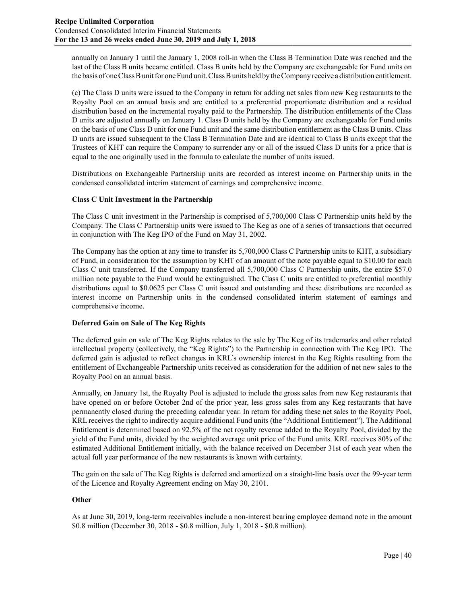annually on January 1 until the January 1, 2008 roll-in when the Class B Termination Date was reached and the last of the Class B units became entitled. Class B units held by the Company are exchangeable for Fund units on the basis of one Class B unit for one Fund unit. Class B units held by the Company receive a distribution entitlement.

(c) The Class D units were issued to the Company in return for adding net sales from new Keg restaurants to the Royalty Pool on an annual basis and are entitled to a preferential proportionate distribution and a residual distribution based on the incremental royalty paid to the Partnership. The distribution entitlements of the Class D units are adjusted annually on January 1. Class D units held by the Company are exchangeable for Fund units on the basis of one Class D unit for one Fund unit and the same distribution entitlement as the Class B units. Class D units are issued subsequent to the Class B Termination Date and are identical to Class B units except that the Trustees of KHT can require the Company to surrender any or all of the issued Class D units for a price that is equal to the one originally used in the formula to calculate the number of units issued.

Distributions on Exchangeable Partnership units are recorded as interest income on Partnership units in the condensed consolidated interim statement of earnings and comprehensive income.

## **Class C Unit Investment in the Partnership**

The Class C unit investment in the Partnership is comprised of 5,700,000 Class C Partnership units held by the Company. The Class C Partnership units were issued to The Keg as one of a series of transactions that occurred in conjunction with The Keg IPO of the Fund on May 31, 2002.

The Company has the option at any time to transfer its 5,700,000 Class C Partnership units to KHT, a subsidiary of Fund, in consideration for the assumption by KHT of an amount of the note payable equal to \$10.00 for each Class C unit transferred. If the Company transferred all 5,700,000 Class C Partnership units, the entire \$57.0 million note payable to the Fund would be extinguished. The Class C units are entitled to preferential monthly distributions equal to \$0.0625 per Class C unit issued and outstanding and these distributions are recorded as interest income on Partnership units in the condensed consolidated interim statement of earnings and comprehensive income.

## **Deferred Gain on Sale of The Keg Rights**

The deferred gain on sale of The Keg Rights relates to the sale by The Keg of its trademarks and other related intellectual property (collectively, the "Keg Rights") to the Partnership in connection with The Keg IPO. The deferred gain is adjusted to reflect changes in KRL's ownership interest in the Keg Rights resulting from the entitlement of Exchangeable Partnership units received as consideration for the addition of net new sales to the Royalty Pool on an annual basis.

Annually, on January 1st, the Royalty Pool is adjusted to include the gross sales from new Keg restaurants that have opened on or before October 2nd of the prior year, less gross sales from any Keg restaurants that have permanently closed during the preceding calendar year. In return for adding these net sales to the Royalty Pool, KRL receives the right to indirectly acquire additional Fund units (the "Additional Entitlement"). The Additional Entitlement is determined based on 92.5% of the net royalty revenue added to the Royalty Pool, divided by the yield of the Fund units, divided by the weighted average unit price of the Fund units. KRL receives 80% of the estimated Additional Entitlement initially, with the balance received on December 31st of each year when the actual full year performance of the new restaurants is known with certainty.

The gain on the sale of The Keg Rights is deferred and amortized on a straight-line basis over the 99-year term of the Licence and Royalty Agreement ending on May 30, 2101.

#### **Other**

As at June 30, 2019, long-term receivables include a non-interest bearing employee demand note in the amount \$0.8 million (December 30, 2018 - \$0.8 million, July 1, 2018 - \$0.8 million).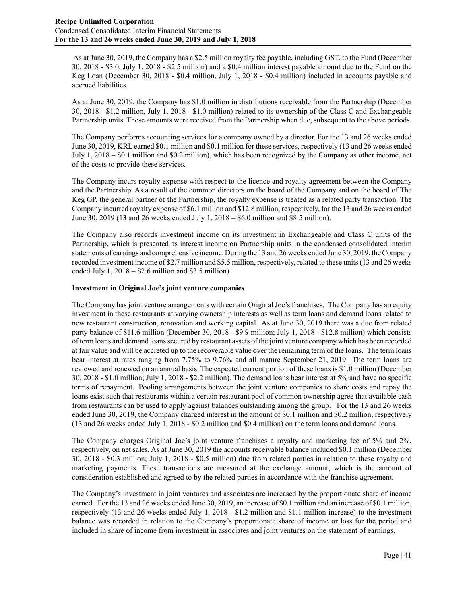As at June 30, 2019, the Company has a \$2.5 million royalty fee payable, including GST, to the Fund (December 30, 2018 - \$3.0, July 1, 2018 - \$2.5 million) and a \$0.4 million interest payable amount due to the Fund on the Keg Loan (December 30, 2018 - \$0.4 million, July 1, 2018 - \$0.4 million) included in accounts payable and accrued liabilities.

As at June 30, 2019, the Company has \$1.0 million in distributions receivable from the Partnership (December 30, 2018 - \$1.2 million, July 1, 2018 - \$1.0 million) related to its ownership of the Class C and Exchangeable Partnership units. These amounts were received from the Partnership when due, subsequent to the above periods.

The Company performs accounting services for a company owned by a director. For the 13 and 26 weeks ended June 30, 2019, KRL earned \$0.1 million and \$0.1 million for these services, respectively (13 and 26 weeks ended July 1, 2018 – \$0.1 million and \$0.2 million), which has been recognized by the Company as other income, net of the costs to provide these services.

The Company incurs royalty expense with respect to the licence and royalty agreement between the Company and the Partnership. As a result of the common directors on the board of the Company and on the board of The Keg GP, the general partner of the Partnership, the royalty expense is treated as a related party transaction. The Company incurred royalty expense of \$6.1 million and \$12.8 million, respectively, for the 13 and 26 weeks ended June 30, 2019 (13 and 26 weeks ended July 1, 2018 – \$6.0 million and \$8.5 million).

The Company also records investment income on its investment in Exchangeable and Class C units of the Partnership, which is presented as interest income on Partnership units in the condensed consolidated interim statements of earnings and comprehensive income. During the 13 and 26 weeks ended June 30, 2019, the Company recorded investment income of \$2.7 million and \$5.5 million, respectively, related to these units (13 and 26 weeks ended July 1,  $2018 - $2.6$  million and \$3.5 million).

## **Investment in Original Joe's joint venture companies**

The Company has joint venture arrangements with certain Original Joe's franchises. The Company has an equity investment in these restaurants at varying ownership interests as well as term loans and demand loans related to new restaurant construction, renovation and working capital. As at June 30, 2019 there was a due from related party balance of \$11.6 million (December 30, 2018 - \$9.9 million; July 1, 2018 - \$12.8 million) which consists of term loans and demand loans secured by restaurant assets of the joint venture company which has been recorded at fair value and will be accreted up to the recoverable value over the remaining term of the loans. The term loans bear interest at rates ranging from 7.75% to 9.76% and all mature September 21, 2019. The term loans are reviewed and renewed on an annual basis. The expected current portion of these loans is \$1.0 million (December 30, 2018 - \$1.0 million; July 1, 2018 - \$2.2 million). The demand loans bear interest at 5% and have no specific terms of repayment. Pooling arrangements between the joint venture companies to share costs and repay the loans exist such that restaurants within a certain restaurant pool of common ownership agree that available cash from restaurants can be used to apply against balances outstanding among the group. For the 13 and 26 weeks ended June 30, 2019, the Company charged interest in the amount of \$0.1 million and \$0.2 million, respectively (13 and 26 weeks ended July 1, 2018 - \$0.2 million and \$0.4 million) on the term loans and demand loans.

The Company charges Original Joe's joint venture franchises a royalty and marketing fee of 5% and 2%, respectively, on net sales. As at June 30, 2019 the accounts receivable balance included \$0.1 million (December 30, 2018 - \$0.3 million; July 1, 2018 - \$0.5 million) due from related parties in relation to these royalty and marketing payments. These transactions are measured at the exchange amount, which is the amount of consideration established and agreed to by the related parties in accordance with the franchise agreement.

The Company's investment in joint ventures and associates are increased by the proportionate share of income earned. For the 13 and 26 weeks ended June 30, 2019, an increase of \$0.1 million and an increase of \$0.1 million, respectively (13 and 26 weeks ended July 1, 2018 - \$1.2 million and \$1.1 million increase) to the investment balance was recorded in relation to the Company's proportionate share of income or loss for the period and included in share of income from investment in associates and joint ventures on the statement of earnings.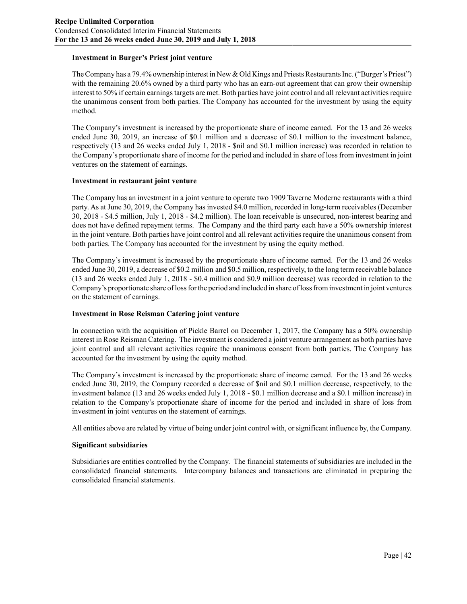#### **Investment in Burger's Priest joint venture**

The Company has a 79.4% ownership interest in New & Old Kings and Priests Restaurants Inc. ("Burger's Priest") with the remaining 20.6% owned by a third party who has an earn-out agreement that can grow their ownership interest to 50% if certain earnings targets are met. Both parties have joint control and all relevant activities require the unanimous consent from both parties. The Company has accounted for the investment by using the equity method.

The Company's investment is increased by the proportionate share of income earned. For the 13 and 26 weeks ended June 30, 2019, an increase of \$0.1 million and a decrease of \$0.1 million to the investment balance, respectively (13 and 26 weeks ended July 1, 2018 - \$nil and \$0.1 million increase) was recorded in relation to the Company's proportionate share of income for the period and included in share of loss from investment in joint ventures on the statement of earnings.

#### **Investment in restaurant joint venture**

The Company has an investment in a joint venture to operate two 1909 Taverne Moderne restaurants with a third party. As at June 30, 2019, the Company has invested \$4.0 million, recorded in long-term receivables (December 30, 2018 - \$4.5 million, July 1, 2018 - \$4.2 million). The loan receivable is unsecured, non-interest bearing and does not have defined repayment terms. The Company and the third party each have a 50% ownership interest in the joint venture. Both parties have joint control and all relevant activities require the unanimous consent from both parties. The Company has accounted for the investment by using the equity method.

The Company's investment is increased by the proportionate share of income earned. For the 13 and 26 weeks ended June 30, 2019, a decrease of \$0.2 million and \$0.5 million, respectively, to the long term receivable balance (13 and 26 weeks ended July 1, 2018 - \$0.4 million and \$0.9 million decrease) was recorded in relation to the Company's proportionate share of loss for the period and included in share of loss from investment in joint ventures on the statement of earnings.

## **Investment in Rose Reisman Catering joint venture**

In connection with the acquisition of Pickle Barrel on December 1, 2017, the Company has a 50% ownership interest in Rose Reisman Catering. The investment is considered a joint venture arrangement as both parties have joint control and all relevant activities require the unanimous consent from both parties. The Company has accounted for the investment by using the equity method.

The Company's investment is increased by the proportionate share of income earned. For the 13 and 26 weeks ended June 30, 2019, the Company recorded a decrease of \$nil and \$0.1 million decrease, respectively, to the investment balance (13 and 26 weeks ended July 1, 2018 - \$0.1 million decrease and a \$0.1 million increase) in relation to the Company's proportionate share of income for the period and included in share of loss from investment in joint ventures on the statement of earnings.

All entities above are related by virtue of being under joint control with, or significant influence by, the Company.

#### **Significant subsidiaries**

Subsidiaries are entities controlled by the Company. The financial statements of subsidiaries are included in the consolidated financial statements. Intercompany balances and transactions are eliminated in preparing the consolidated financial statements.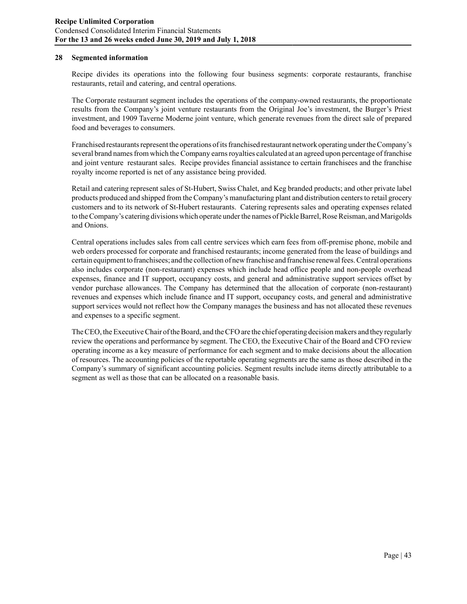#### **28 Segmented information**

Recipe divides its operations into the following four business segments: corporate restaurants, franchise restaurants, retail and catering, and central operations.

The Corporate restaurant segment includes the operations of the company-owned restaurants, the proportionate results from the Company's joint venture restaurants from the Original Joe's investment, the Burger's Priest investment, and 1909 Taverne Moderne joint venture, which generate revenues from the direct sale of prepared food and beverages to consumers.

Franchised restaurants represent the operations of its franchised restaurant network operating under the Company's several brand names from which the Company earns royalties calculated at an agreed upon percentage of franchise and joint venture restaurant sales. Recipe provides financial assistance to certain franchisees and the franchise royalty income reported is net of any assistance being provided.

Retail and catering represent sales of St-Hubert, Swiss Chalet, and Keg branded products; and other private label products produced and shipped from the Company's manufacturing plant and distribution centers to retail grocery customers and to its network of St-Hubert restaurants. Catering represents sales and operating expenses related to the Company's catering divisions which operate under the names of Pickle Barrel, Rose Reisman, and Marigolds and Onions.

Central operations includes sales from call centre services which earn fees from off-premise phone, mobile and web orders processed for corporate and franchised restaurants; income generated from the lease of buildings and certain equipment to franchisees; and the collection of new franchise and franchise renewal fees. Central operations also includes corporate (non-restaurant) expenses which include head office people and non-people overhead expenses, finance and IT support, occupancy costs, and general and administrative support services offset by vendor purchase allowances. The Company has determined that the allocation of corporate (non-restaurant) revenues and expenses which include finance and IT support, occupancy costs, and general and administrative support services would not reflect how the Company manages the business and has not allocated these revenues and expenses to a specific segment.

The CEO, the Executive Chair of the Board, and the CFO are the chief operating decision makers and they regularly review the operations and performance by segment. The CEO, the Executive Chair of the Board and CFO review operating income as a key measure of performance for each segment and to make decisions about the allocation of resources. The accounting policies of the reportable operating segments are the same as those described in the Company's summary of significant accounting policies. Segment results include items directly attributable to a segment as well as those that can be allocated on a reasonable basis.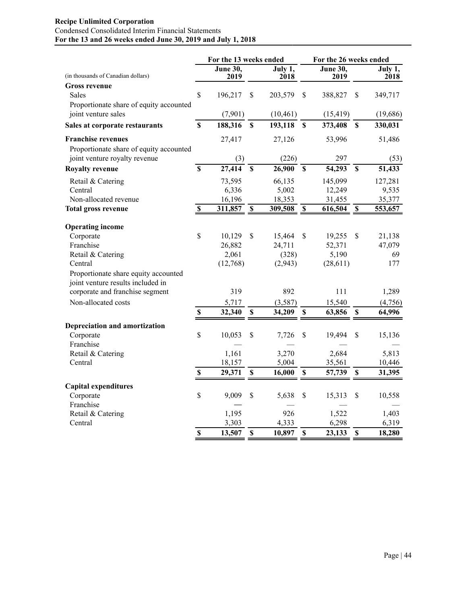## **Recipe Unlimited Corporation** Condensed Consolidated Interim Financial Statements **For the 13 and 26 weeks ended June 30, 2019 and July 1, 2018**

|                                         |                           |                         | For the 13 weeks ended    |                 |                         | For the 26 weeks ended  |                           |                 |  |
|-----------------------------------------|---------------------------|-------------------------|---------------------------|-----------------|-------------------------|-------------------------|---------------------------|-----------------|--|
| (in thousands of Canadian dollars)      |                           | <b>June 30,</b><br>2019 |                           | July 1,<br>2018 |                         | <b>June 30,</b><br>2019 |                           | July 1,<br>2018 |  |
| <b>Gross revenue</b>                    |                           |                         |                           |                 |                         |                         |                           |                 |  |
| Sales                                   | $\mathbf S$               | 196,217                 | $\mathbf S$               | 203,579         | $\mathbf{\hat{S}}$      | 388,827                 | $\mathbf S$               | 349,717         |  |
| Proportionate share of equity accounted |                           |                         |                           |                 |                         |                         |                           |                 |  |
| joint venture sales                     |                           | (7,901)                 |                           | (10, 461)       |                         | (15, 419)               |                           | (19,686)        |  |
| Sales at corporate restaurants          | $\mathbf S$               | 188,316                 | S                         | 193,118         | S                       | 373,408                 | S                         | 330,031         |  |
| <b>Franchise revenues</b>               |                           | 27,417                  |                           | 27,126          |                         | 53,996                  |                           | 51,486          |  |
| Proportionate share of equity accounted |                           |                         |                           |                 |                         |                         |                           |                 |  |
| joint venture royalty revenue           |                           | (3)                     |                           | (226)           |                         | 297                     |                           | (53)            |  |
| <b>Royalty revenue</b>                  | $\overline{\mathbf{s}}$   | 27,414                  | $\overline{\mathbf{s}}$   | 26,900          | $\overline{\mathbf{s}}$ | 54,293                  | $\mathbf S$               | 51,433          |  |
| Retail & Catering                       |                           | 73,595                  |                           | 66,135          |                         | 145,099                 |                           | 127,281         |  |
| Central                                 |                           | 6,336                   |                           | 5,002           |                         | 12,249                  |                           | 9,535           |  |
| Non-allocated revenue                   |                           | 16,196                  |                           | 18,353          |                         | 31,455                  |                           | 35,377          |  |
| <b>Total gross revenue</b>              | $\mathbb S$               | 311,857                 | $\mathbf{s}$              | 309,508         | $\mathbf{s}$            | 616,504                 | $\mathbf{s}$              | 553,657         |  |
|                                         |                           |                         |                           |                 |                         |                         |                           |                 |  |
| <b>Operating income</b>                 |                           |                         |                           |                 |                         |                         |                           |                 |  |
| Corporate                               | \$                        | 10,129                  | \$                        | 15,464          | \$                      | 19,255                  | \$                        | 21,138          |  |
| Franchise                               |                           | 26,882                  |                           | 24,711          |                         | 52,371                  |                           | 47,079          |  |
| Retail & Catering                       |                           | 2,061                   |                           | (328)           |                         | 5,190                   |                           | 69              |  |
| Central                                 |                           | (12,768)                |                           | (2,943)         |                         | (28, 611)               |                           | 177             |  |
| Proportionate share equity accounted    |                           |                         |                           |                 |                         |                         |                           |                 |  |
| joint venture results included in       |                           |                         |                           |                 |                         |                         |                           |                 |  |
| corporate and franchise segment         |                           | 319                     |                           | 892             |                         | 111                     |                           | 1,289           |  |
| Non-allocated costs                     |                           | 5,717                   |                           | (3,587)         |                         | 15,540                  |                           | (4,756)         |  |
|                                         | $\boldsymbol{\mathsf{S}}$ | 32,340                  | \$                        | 34,209          | \$                      | 63,856                  | $\mathbf S$               | 64,996          |  |
| Depreciation and amortization           |                           |                         |                           |                 |                         |                         |                           |                 |  |
| Corporate                               | \$                        | 10,053                  | \$                        | 7,726           | \$                      | 19,494                  | \$                        | 15,136          |  |
| Franchise                               |                           |                         |                           |                 |                         |                         |                           |                 |  |
| Retail & Catering                       |                           | 1,161                   |                           | 3,270           |                         | 2,684                   |                           | 5,813           |  |
| Central                                 |                           | 18,157                  |                           | 5,004           |                         | 35,561                  |                           | 10,446          |  |
|                                         | $\pmb{\mathbb{S}}$        | 29,371                  | $\boldsymbol{\mathsf{S}}$ | 16,000          | $\mathbb S$             | 57,739                  | $\boldsymbol{\mathsf{S}}$ | 31,395          |  |
| <b>Capital expenditures</b>             |                           |                         |                           |                 |                         |                         |                           |                 |  |
| Corporate                               | \$                        | 9,009                   | \$                        | 5,638           | \$                      | 15,313                  | \$                        | 10,558          |  |
| Franchise                               |                           |                         |                           |                 |                         |                         |                           |                 |  |
| Retail & Catering                       |                           | 1,195                   |                           | 926             |                         | 1,522                   |                           | 1,403           |  |
| Central                                 |                           | 3,303                   |                           | 4,333           |                         | 6,298                   |                           | 6,319           |  |
|                                         | $\mathbf S$               | 13,507                  | $\mathbf S$               | 10,897          | $\mathbb{S}$            | 23,133                  | $\mathbf S$               | 18,280          |  |